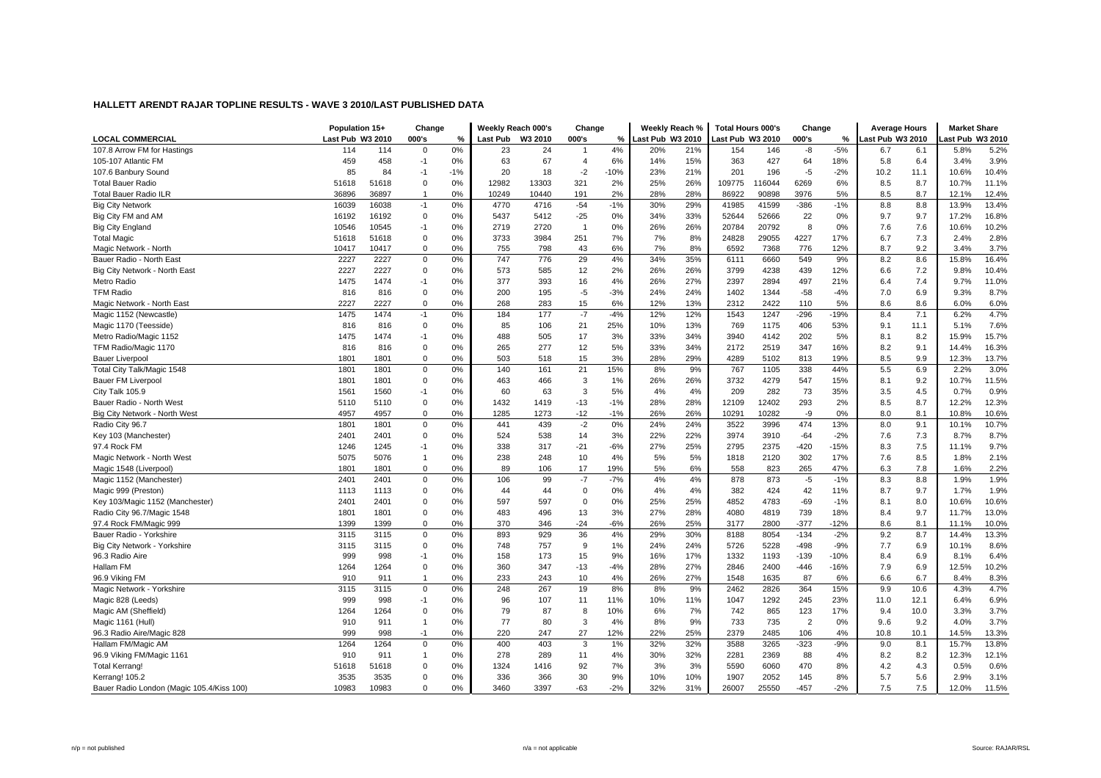|                                           | Population 15+   |       | Change         |       | Weekly Reach 000's |         | Change         |        | Weekly Reach %   |     | <b>Total Hours 000's</b> |        | Change         |        | <b>Average Hours</b> |      | <b>Market Share</b> |       |
|-------------------------------------------|------------------|-------|----------------|-------|--------------------|---------|----------------|--------|------------------|-----|--------------------------|--------|----------------|--------|----------------------|------|---------------------|-------|
| <b>LOCAL COMMERCIAL</b>                   | Last Pub W3 2010 |       | 000's          | %     | <b>Last Pub</b>    | W3 2010 | 000's          | %      | Last Pub W3 2010 |     | ast Pub W3 2010          |        | 000's          | %      | Last Pub W3 2010     |      | ast Pub W3 2010     |       |
| 107.8 Arrow FM for Hastings               | 114              | 114   | $\mathbf 0$    | 0%    | 23                 | 24      | $\overline{1}$ | 4%     | 20%              | 21% | 154                      | 146    | -8             | $-5%$  | 6.7                  | 6.1  | 5.8%                | 5.2%  |
| 105-107 Atlantic FM                       | 459              | 458   | $-1$           | 0%    | 63                 | 67      | $\overline{4}$ | 6%     | 14%              | 15% | 363                      | 427    | 64             | 18%    | 5.8                  | 6.4  | 3.4%                | 3.9%  |
| 107.6 Banbury Sound                       | 85               | 84    | $-1$           | $-1%$ | 20                 | 18      | $-2$           | $-10%$ | 23%              | 21% | 201                      | 196    | $-5$           | $-2%$  | 10.2                 | 11.1 | 10.6%               | 10.4% |
| <b>Total Bauer Radio</b>                  | 51618            | 51618 | $\mathbf 0$    | 0%    | 12982              | 13303   | 321            | 2%     | 25%              | 26% | 109775                   | 116044 | 6269           | 6%     | 8.5                  | 8.7  | 10.7%               | 11.1% |
| <b>Total Bauer Radio ILR</b>              | 36896            | 36897 | $\overline{1}$ | 0%    | 10249              | 10440   | 191            | 2%     | 28%              | 28% | 86922                    | 90898  | 3976           | 5%     | 8.5                  | 8.7  | 12.1%               | 12.4% |
| <b>Big City Network</b>                   | 16039            | 16038 | $-1$           | 0%    | 4770               | 4716    | $-54$          | $-1%$  | 30%              | 29% | 41985                    | 41599  | $-386$         | $-1%$  | 8.8                  | 8.8  | 13.9%               | 13.4% |
| Big City FM and AM                        | 16192            | 16192 | $\mathbf 0$    | 0%    | 5437               | 5412    | $-25$          | 0%     | 34%              | 33% | 52644                    | 52666  | 22             | 0%     | 9.7                  | 9.7  | 17.2%               | 16.8% |
| Big City England                          | 10546            | 10545 | $-1$           | 0%    | 2719               | 2720    | $\overline{1}$ | 0%     | 26%              | 26% | 20784                    | 20792  | 8              | 0%     | 7.6                  | 7.6  | 10.6%               | 10.2% |
| <b>Total Magic</b>                        | 51618            | 51618 | $\mathbf 0$    | 0%    | 3733               | 3984    | 251            | 7%     | 7%               | 8%  | 24828                    | 29055  | 4227           | 17%    | 6.7                  | 7.3  | 2.4%                | 2.8%  |
| Magic Network - North                     | 10417            | 10417 | $\mathbf 0$    | 0%    | 755                | 798     | 43             | 6%     | 7%               | 8%  | 6592                     | 7368   | 776            | 12%    | 8.7                  | 9.2  | 3.4%                | 3.7%  |
| Bauer Radio - North East                  | 2227             | 2227  | $\mathbf 0$    | 0%    | 747                | 776     | 29             | 4%     | 34%              | 35% | 6111                     | 6660   | 549            | 9%     | 8.2                  | 8.6  | 15.8%               | 16.4% |
| Big City Network - North East             | 2227             | 2227  | $\mathbf 0$    | 0%    | 573                | 585     | 12             | 2%     | 26%              | 26% | 3799                     | 4238   | 439            | 12%    | 6.6                  | 7.2  | 9.8%                | 10.4% |
| Metro Radio                               | 1475             | 1474  | $-1$           | 0%    | 377                | 393     | 16             | 4%     | 26%              | 27% | 2397                     | 2894   | 497            | 21%    | 6.4                  | 7.4  | 9.7%                | 11.0% |
| <b>TFM Radio</b>                          | 816              | 816   | $\mathbf 0$    | 0%    | 200                | 195     | $-5$           | $-3%$  | 24%              | 24% | 1402                     | 1344   | $-58$          | $-4%$  | 7.0                  | 6.9  | 9.3%                | 8.7%  |
| Magic Network - North East                | 2227             | 2227  | $\mathbf 0$    | 0%    | 268                | 283     | 15             | 6%     | 12%              | 13% | 2312                     | 2422   | 110            | 5%     | 8.6                  | 8.6  | 6.0%                | 6.0%  |
| Magic 1152 (Newcastle)                    | 1475             | 1474  | $-1$           | 0%    | 184                | 177     | $-7$           | $-4%$  | 12%              | 12% | 1543                     | 1247   | $-296$         | $-19%$ | 8.4                  | 7.1  | 6.2%                | 4.7%  |
| Magic 1170 (Teesside)                     | 816              | 816   | $\mathbf 0$    | 0%    | 85                 | 106     | 21             | 25%    | 10%              | 13% | 769                      | 1175   | 406            | 53%    | 9.1                  | 11.1 | 5.1%                | 7.6%  |
| Metro Radio/Magic 1152                    | 1475             | 1474  | $-1$           | 0%    | 488                | 505     | 17             | 3%     | 33%              | 34% | 3940                     | 4142   | 202            | 5%     | 8.1                  | 8.2  | 15.9%               | 15.7% |
| TFM Radio/Magic 1170                      | 816              | 816   | $\mathbf 0$    | 0%    | 265                | 277     | 12             | 5%     | 33%              | 34% | 2172                     | 2519   | 347            | 16%    | 8.2                  | 9.1  | 14.4%               | 16.3% |
| <b>Bauer Liverpool</b>                    | 1801             | 1801  | $\mathbf 0$    | 0%    | 503                | 518     | 15             | 3%     | 28%              | 29% | 4289                     | 5102   | 813            | 19%    | 8.5                  | 9.9  | 12.3%               | 13.7% |
| Total City Talk/Magic 1548                | 1801             | 1801  | $\mathbf 0$    | 0%    | 140                | 161     | 21             | 15%    | 8%               | 9%  | 767                      | 1105   | 338            | 44%    | 5.5                  | 6.9  | 2.2%                | 3.0%  |
| <b>Bauer FM Liverpool</b>                 | 1801             | 1801  | $\mathbf 0$    | 0%    | 463                | 466     | 3              | 1%     | 26%              | 26% | 3732                     | 4279   | 547            | 15%    | 8.1                  | 9.2  | 10.7%               | 11.5% |
| City Talk 105.9                           | 1561             | 1560  | $-1$           | 0%    | 60                 | 63      | 3              | 5%     | 4%               | 4%  | 209                      | 282    | 73             | 35%    | 3.5                  | 4.5  | 0.7%                | 0.9%  |
| Bauer Radio - North West                  | 5110             | 5110  | $\mathbf 0$    | 0%    | 1432               | 1419    | $-13$          | $-1%$  | 28%              | 28% | 12109                    | 12402  | 293            | 2%     | 8.5                  | 8.7  | 12.2%               | 12.3% |
| Big City Network - North West             | 4957             | 4957  | $\mathbf 0$    | 0%    | 1285               | 1273    | $-12$          | $-1%$  | 26%              | 26% | 10291                    | 10282  | -9             | 0%     | 8.0                  | 8.1  | 10.8%               | 10.6% |
| Radio City 96.7                           | 1801             | 1801  | $\mathbf 0$    | 0%    | 441                | 439     | $-2$           | 0%     | 24%              | 24% | 3522                     | 3996   | 474            | 13%    | 8.0                  | 9.1  | 10.1%               | 10.7% |
| Key 103 (Manchester)                      | 2401             | 2401  | $\mathbf 0$    | 0%    | 524                | 538     | 14             | 3%     | 22%              | 22% | 3974                     | 3910   | $-64$          | $-2%$  | 7.6                  | 7.3  | 8.7%                | 8.7%  |
| 97.4 Rock FM                              | 1246             | 1245  | $-1$           | 0%    | 338                | 317     | $-21$          | $-6%$  | 27%              | 25% | 2795                     | 2375   | $-420$         | $-15%$ | 8.3                  | 7.5  | 11.1%               | 9.7%  |
| Magic Network - North West                | 5075             | 5076  | $\overline{1}$ | 0%    | 238                | 248     | 10             | 4%     | 5%               | 5%  | 1818                     | 2120   | 302            | 17%    | 7.6                  | 8.5  | 1.8%                | 2.1%  |
| Magic 1548 (Liverpool)                    | 1801             | 1801  | $\mathbf 0$    | 0%    | 89                 | 106     | 17             | 19%    | 5%               | 6%  | 558                      | 823    | 265            | 47%    | 6.3                  | 7.8  | 1.6%                | 2.2%  |
| Magic 1152 (Manchester)                   | 2401             | 2401  | $\mathbf 0$    | 0%    | 106                | 99      | $-7$           | $-7%$  | 4%               | 4%  | 878                      | 873    | $-5$           | $-1%$  | 8.3                  | 8.8  | 1.9%                | 1.9%  |
| Magic 999 (Preston)                       | 1113             | 1113  | $\mathbf 0$    | 0%    | 44                 | 44      | $\mathbf 0$    | 0%     | 4%               | 4%  | 382                      | 424    | 42             | 11%    | 8.7                  | 9.7  | 1.7%                | 1.9%  |
| Key 103/Magic 1152 (Manchester)           | 2401             | 2401  | $\Omega$       | 0%    | 597                | 597     | $\mathbf 0$    | 0%     | 25%              | 25% | 4852                     | 4783   | $-69$          | $-1%$  | 8.1                  | 8.0  | 10.6%               | 10.6% |
| Radio City 96.7/Magic 1548                | 1801             | 1801  | $\mathbf 0$    | 0%    | 483                | 496     | 13             | 3%     | 27%              | 28% | 4080                     | 4819   | 739            | 18%    | 8.4                  | 9.7  | 11.7%               | 13.0% |
| 97.4 Rock FM/Magic 999                    | 1399             | 1399  | $\mathbf 0$    | 0%    | 370                | 346     | $-24$          | $-6%$  | 26%              | 25% | 3177                     | 2800   | $-377$         | $-12%$ | 8.6                  | 8.1  | 11.1%               | 10.0% |
| Bauer Radio - Yorkshire                   | 3115             | 3115  | $\mathbf 0$    | 0%    | 893                | 929     | 36             | 4%     | 29%              | 30% | 8188                     | 8054   | $-134$         | $-2%$  | 9.2                  | 8.7  | 14.4%               | 13.3% |
| Big City Network - Yorkshire              | 3115             | 3115  | $\mathbf 0$    | 0%    | 748                | 757     | 9              | 1%     | 24%              | 24% | 5726                     | 5228   | $-498$         | $-9%$  | 7.7                  | 6.9  | 10.1%               | 8.6%  |
| 96.3 Radio Aire                           | 999              | 998   | $-1$           | 0%    | 158                | 173     | 15             | 9%     | 16%              | 17% | 1332                     | 1193   | $-139$         | $-10%$ | 8.4                  | 6.9  | 8.1%                | 6.4%  |
| Hallam FM                                 | 1264             | 1264  | $\mathbf 0$    | 0%    | 360                | 347     | $-13$          | $-4%$  | 28%              | 27% | 2846                     | 2400   | $-446$         | $-16%$ | 7.9                  | 6.9  | 12.5%               | 10.2% |
| 96.9 Vikina FM                            | 910              | 911   | $\overline{1}$ | 0%    | 233                | 243     | 10             | 4%     | 26%              | 27% | 1548                     | 1635   | 87             | 6%     | 6.6                  | 6.7  | 8.4%                | 8.3%  |
| Magic Network - Yorkshire                 | 3115             | 3115  | $\mathbf 0$    | 0%    | 248                | 267     | 19             | $8%$   | 8%               | 9%  | 2462                     | 2826   | 364            | 15%    | 9.9                  | 10.6 | 4.3%                | 4.7%  |
| Magic 828 (Leeds)                         | 999              | 998   | $-1$           | 0%    | 96                 | 107     | 11             | 11%    | 10%              | 11% | 1047                     | 1292   | 245            | 23%    | 11.0                 | 12.1 | 6.4%                | 6.9%  |
| Magic AM (Sheffield)                      | 1264             | 1264  | $\mathbf 0$    | 0%    | 79                 | 87      | 8              | 10%    | 6%               | 7%  | 742                      | 865    | 123            | 17%    | 9.4                  | 10.0 | 3.3%                | 3.7%  |
| Magic 1161 (Hull)                         | 910              | 911   | $\overline{1}$ | 0%    | 77                 | 80      | 3              | 4%     | 8%               | 9%  | 733                      | 735    | $\overline{2}$ | 0%     | 9.6                  | 9.2  | 4.0%                | 3.7%  |
| 96.3 Radio Aire/Magic 828                 | 999              | 998   | $-1$           | 0%    | 220                | 247     | 27             | 12%    | 22%              | 25% | 2379                     | 2485   | 106            | 4%     | 10.8                 | 10.1 | 14.5%               | 13.3% |
| Hallam FM/Magic AM                        | 1264             | 1264  | $\mathbf 0$    | 0%    | 400                | 403     | 3              | 1%     | 32%              | 32% | 3588                     | 3265   | $-323$         | $-9%$  | 9.0                  | 8.1  | 15.7%               | 13.8% |
| 96.9 Viking FM/Magic 1161                 | 910              | 911   | $\overline{1}$ | 0%    | 278                | 289     | 11             | 4%     | 30%              | 32% | 2281                     | 2369   | 88             | 4%     | 8.2                  | 8.2  | 12.3%               | 12.1% |
| <b>Total Kerrang!</b>                     | 51618            | 51618 | $\mathbf 0$    | 0%    | 1324               | 1416    | 92             | 7%     | 3%               | 3%  | 5590                     | 6060   | 470            | 8%     | 4.2                  | 4.3  | 0.5%                | 0.6%  |
| Kerrang! 105.2                            | 3535             | 3535  | $\Omega$       | 0%    | 336                | 366     | 30             | 9%     | 10%              | 10% | 1907                     | 2052   | 145            | 8%     | 5.7                  | 5.6  | 2.9%                | 3.1%  |
| Bauer Radio London (Magic 105.4/Kiss 100) | 10983            | 10983 | $\Omega$       | 0%    | 3460               | 3397    | $-63$          | $-2%$  | 32%              | 31% | 26007                    | 25550  | $-457$         | $-2%$  | 7.5                  | 7.5  | 12.0%               | 11.5% |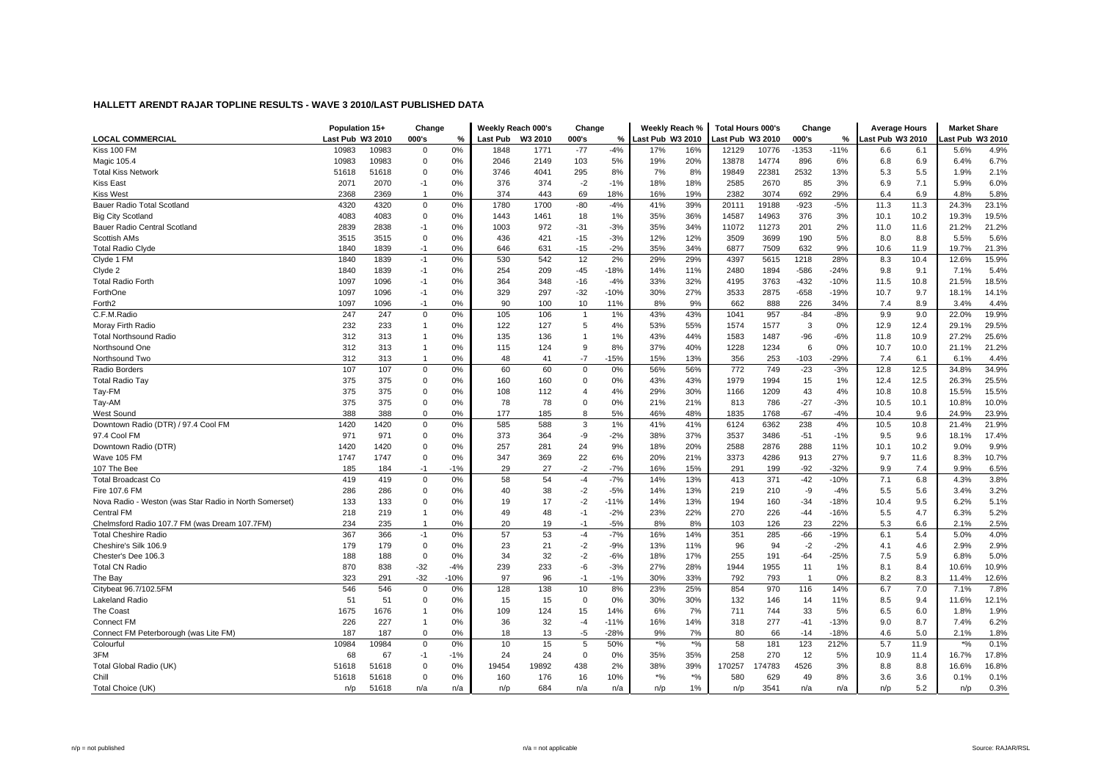|                                                        | Population 15+   |       | Change         |        | Weekly Reach 000's |         | Change         |        | Weekly Reach %                 |               | <b>Total Hours 000's</b> |       | Change         |        | <b>Average Hours</b> |      | <b>Market Share</b> |       |
|--------------------------------------------------------|------------------|-------|----------------|--------|--------------------|---------|----------------|--------|--------------------------------|---------------|--------------------------|-------|----------------|--------|----------------------|------|---------------------|-------|
| <b>LOCAL COMMERCIAL</b>                                | Last Pub W3 2010 |       | 000's          | %      | <b>Last Pub</b>    | W3 2010 | 000's          | %      | ast Pub W3 2010                |               | ast Pub W3 2010          |       | 000's          | %      | ast Pub W3 2010      |      | ast Pub W3 2010     |       |
| Kiss 100 FM                                            | 10983            | 10983 | $\mathbf 0$    | 0%     | 1848               | 1771    | $-77$          | $-4%$  | 17%                            | 16%           | 12129                    | 10776 | $-1353$        | $-11%$ | 6.6                  | 6.1  | 5.6%                | 4.9%  |
| Magic 105.4                                            | 10983            | 10983 | $\mathbf 0$    | 0%     | 2046               | 2149    | 103            | 5%     | 19%                            | 20%           | 13878                    | 14774 | 896            | 6%     | 6.8                  | 6.9  | 6.4%                | 6.7%  |
| <b>Total Kiss Network</b>                              | 51618            | 51618 | $\mathbf 0$    | 0%     | 3746               | 4041    | 295            | 8%     | 7%                             | 8%            | 19849                    | 22381 | 2532           | 13%    | 5.3                  | 5.5  | 1.9%                | 2.1%  |
| Kiss East                                              | 2071             | 2070  | $-1$           | 0%     | 376                | 374     | $-2$           | $-1%$  | 18%                            | 18%           | 2585                     | 2670  | 85             | 3%     | 6.9                  | 7.1  | 5.9%                | 6.0%  |
| Kiss West                                              | 2368             | 2369  | $\overline{1}$ | 0%     | 374                | 443     | 69             | 18%    | 16%                            | 19%           | 2382                     | 3074  | 692            | 29%    | 6.4                  | 6.9  | 4.8%                | 5.8%  |
| Bauer Radio Total Scotland                             | 4320             | 4320  | $\mathbf 0$    | 0%     | 1780               | 1700    | $-80$          | $-4%$  | 41%                            | 39%           | 20111                    | 19188 | $-923$         | $-5%$  | 11.3                 | 11.3 | 24.3%               | 23.1% |
| <b>Big City Scotland</b>                               | 4083             | 4083  | $\mathbf 0$    | 0%     | 1443               | 1461    | 18             | 1%     | 35%                            | 36%           | 14587                    | 14963 | 376            | 3%     | 10.1                 | 10.2 | 19.3%               | 19.5% |
| <b>Bauer Radio Central Scotland</b>                    | 2839             | 2838  | $-1$           | 0%     | 1003               | 972     | $-31$          | $-3%$  | 35%                            | 34%           | 11072                    | 11273 | 201            | 2%     | 11.0                 | 11.6 | 21.2%               | 21.2% |
| <b>Scottish AMs</b>                                    | 3515             | 3515  | $\mathbf 0$    | 0%     | 436                | 421     | $-15$          | $-3%$  | 12%                            | 12%           | 3509                     | 3699  | 190            | 5%     | 8.0                  | 8.8  | 5.5%                | 5.6%  |
| <b>Total Radio Clyde</b>                               | 1840             | 1839  | $-1$           | 0%     | 646                | 631     | $-15$          | $-2%$  | 35%                            | 34%           | 6877                     | 7509  | 632            | 9%     | 10.6                 | 11.9 | 19.7%               | 21.3% |
| Clyde 1 FM                                             | 1840             | 1839  | $-1$           | 0%     | 530                | 542     | 12             | 2%     | 29%                            | 29%           | 4397                     | 5615  | 1218           | 28%    | 8.3                  | 10.4 | 12.6%               | 15.9% |
| Clyde 2                                                | 1840             | 1839  | $-1$           | 0%     | 254                | 209     | $-45$          | $-18%$ | 14%                            | 11%           | 2480                     | 1894  | $-586$         | $-24%$ | 9.8                  | 9.1  | 7.1%                | 5.4%  |
| <b>Total Radio Forth</b>                               | 1097             | 1096  | $-1$           | 0%     | 364                | 348     | $-16$          | $-4%$  | 33%                            | 32%           | 4195                     | 3763  | $-432$         | $-10%$ | 11.5                 | 10.8 | 21.5%               | 18.5% |
| ForthOne                                               | 1097             | 1096  | $-1$           | 0%     | 329                | 297     | $-32$          | $-10%$ | 30%                            | 27%           | 3533                     | 2875  | $-658$         | $-19%$ | 10.7                 | 9.7  | 18.1%               | 14.1% |
| Forth <sub>2</sub>                                     | 1097             | 1096  | $-1$           | 0%     | 90                 | 100     | 10             | 11%    | 8%                             | 9%            | 662                      | 888   | 226            | 34%    | 7.4                  | 8.9  | 3.4%                | 4.4%  |
| C.F.M.Radio                                            | 247              | 247   | $\mathbf 0$    | 0%     | 105                | 106     | $\overline{1}$ | 1%     | 43%                            | 43%           | 1041                     | 957   | $-84$          | $-8%$  | 9.9                  | 9.0  | 22.0%               | 19.9% |
| Moray Firth Radio                                      | 232              | 233   | $\overline{1}$ | 0%     | 122                | 127     | 5              | 4%     | 53%                            | 55%           | 1574                     | 1577  | 3              | 0%     | 12.9                 | 12.4 | 29.1%               | 29.5% |
| <b>Total Northsound Radio</b>                          | 312              | 313   | $\overline{1}$ | 0%     | 135                | 136     | $\overline{1}$ | 1%     | 43%                            | 44%           | 1583                     | 1487  | $-96$          | $-6%$  | 11.8                 | 10.9 | 27.2%               | 25.6% |
| Northsound One                                         | 312              | 313   | $\overline{1}$ | 0%     | 115                | 124     | 9              | 8%     | 37%                            | 40%           | 1228                     | 1234  | 6              | 0%     | 10.7                 | 10.0 | 21.1%               | 21.2% |
| Northsound Two                                         | 312              | 313   | $\overline{1}$ | 0%     | 48                 | 41      | $-7$           | $-15%$ | 15%                            | 13%           | 356                      | 253   | $-103$         | $-29%$ | 7.4                  | 6.1  | 6.1%                | 4.4%  |
| Radio Borders                                          | 107              | 107   | $\Omega$       | 0%     | 60                 | 60      | $\mathbf 0$    | 0%     | 56%                            | 56%           | 772                      | 749   | $-23$          | $-3%$  | 12.8                 | 12.5 | 34.8%               | 34.9% |
| Total Radio Tay                                        | 375              | 375   | $\mathbf 0$    | 0%     | 160                | 160     | $\mathbf 0$    | 0%     | 43%                            | 43%           | 1979                     | 1994  | 15             | 1%     | 12.4                 | 12.5 | 26.3%               | 25.5% |
| Tay-FM                                                 | 375              | 375   | $\Omega$       | 0%     | 108                | 112     | $\overline{4}$ | 4%     | 29%                            | 30%           | 1166                     | 1209  | 43             | 4%     | 10.8                 | 10.8 | 15.5%               | 15.5% |
| Tay-AM                                                 | 375              | 375   | $\mathbf 0$    | 0%     | 78                 | 78      | $\mathbf 0$    | 0%     | 21%                            | 21%           | 813                      | 786   | $-27$          | $-3%$  | 10.5                 | 10.1 | 10.8%               | 10.0% |
| West Sound                                             | 388              | 388   | $\mathbf 0$    | 0%     | 177                | 185     | 8              | 5%     | 46%                            | 48%           | 1835                     | 1768  | $-67$          | $-4%$  | 10.4                 | 9.6  | 24.9%               | 23.9% |
| Downtown Radio (DTR) / 97.4 Cool FM                    | 1420             | 1420  | $\mathbf 0$    | 0%     | 585                | 588     | 3              | 1%     | 41%                            | 41%           | 6124                     | 6362  | 238            | 4%     | 10.5                 | 10.8 | 21.4%               | 21.9% |
| 97.4 Cool FM                                           | 971              | 971   | $\mathbf 0$    | 0%     | 373                | 364     | -9             | $-2%$  | 38%                            | 37%           | 3537                     | 3486  | $-51$          | $-1%$  | 9.5                  | 9.6  | 18.1%               | 17.4% |
| Downtown Radio (DTR)                                   | 1420             | 1420  | $\Omega$       | 0%     | 257                | 281     | 24             | 9%     | 18%                            | 20%           | 2588                     | 2876  | 288            | 11%    | 10.1                 | 10.2 | 9.0%                | 9.9%  |
| Wave 105 FM                                            | 1747             | 1747  | $\mathbf 0$    | 0%     | 347                | 369     | 22             | 6%     | 20%                            | 21%           | 3373                     | 4286  | 913            | 27%    | 9.7                  | 11.6 | 8.3%                | 10.7% |
| 107 The Bee                                            | 185              | 184   | $-1$           | $-1%$  | 29                 | 27      | $-2$           | $-7%$  | 16%                            | 15%           | 291                      | 199   | $-92$          | $-32%$ | 9.9                  | 7.4  | 9.9%                | 6.5%  |
| <b>Total Broadcast Co</b>                              | 419              | 419   | $\mathbf 0$    | 0%     | 58                 | 54      | $-4$           | $-7%$  | 14%                            | 13%           | 413                      | 371   | $-42$          | $-10%$ | 7.1                  | 6.8  | 4.3%                | 3.8%  |
| Fire 107.6 FM                                          | 286              | 286   | $\Omega$       | 0%     | 40                 | 38      | $-2$           | $-5%$  | 14%                            | 13%           | 219                      | 210   | -9             | $-4%$  | 5.5                  | 5.6  | 3.4%                | 3.2%  |
| Nova Radio - Weston (was Star Radio in North Somerset) | 133              | 133   | $\mathbf 0$    | 0%     | 19                 | 17      | $-2$           | $-11%$ | 14%                            | 13%           | 194                      | 160   | $-34$          | $-18%$ | 10.4                 | 9.5  | 6.2%                | 5.1%  |
| Central FM                                             | 218              | 219   | $\overline{1}$ | 0%     | 49                 | 48      | $-1$           | $-2%$  | 23%                            | 22%           | 270                      | 226   | -44            | $-16%$ | 5.5                  | 4.7  | 6.3%                | 5.2%  |
| Chelmsford Radio 107.7 FM (was Dream 107.7FM)          | 234              | 235   | $\overline{1}$ | 0%     | 20                 | 19      | $-1$           | $-5%$  | 8%                             | 8%            | 103                      | 126   | 23             | 22%    | 5.3                  | 6.6  | 2.1%                | 2.5%  |
| <b>Total Cheshire Radio</b>                            | 367              | 366   | $-1$           | 0%     | 57                 | 53      | $-4$           | $-7%$  | 16%                            | 14%           | 351                      | 285   | $-66$          | $-19%$ | 6.1                  | 5.4  | 5.0%                | 4.0%  |
| Cheshire's Silk 106.9                                  | 179              | 179   | $\mathbf 0$    | 0%     | 23                 | 21      | $-2$           | $-9%$  | 13%                            | 11%           | 96                       | 94    | $-2$           | $-2%$  | 4.1                  | 4.6  | 2.9%                | 2.9%  |
| Chester's Dee 106.3                                    | 188              | 188   | $\mathbf 0$    | 0%     | 34                 | 32      | $-2$           | $-6%$  | 18%                            | 17%           | 255                      | 191   | $-64$          | $-25%$ | 7.5                  | 5.9  | 6.8%                | 5.0%  |
| <b>Total CN Radio</b>                                  | 870              | 838   | $-32$          | $-4%$  | 239                | 233     | -6             | $-3%$  | 27%                            | 28%           | 1944                     | 1955  | 11             | 1%     | 8.1                  | 8.4  | 10.6%               | 10.9% |
| The Bay                                                | 323              | 291   | $-32$          | $-10%$ | 97                 | 96      | $-1$           | $-1%$  | 30%                            | 33%           | 792                      | 793   | $\overline{1}$ | 0%     | 8.2                  | 8.3  | 11.4%               | 12.6% |
| Citybeat 96.7/102.5FM                                  | 546              | 546   | $\mathbf 0$    | 0%     | 128                | 138     | 10             | 8%     | 23%                            | 25%           | 854                      | 970   | 116            | 14%    | 6.7                  | 7.0  | 7.1%                | 7.8%  |
| Lakeland Radio                                         | 51               | 51    | $\mathbf 0$    | 0%     | 15                 | 15      | $\mathbf 0$    | 0%     | 30%                            | 30%           | 132                      | 146   | 14             | 11%    | 8.5                  | 9.4  | 11.6%               | 12.1% |
| The Coast                                              | 1675             | 1676  | $\overline{1}$ | 0%     | 109                | 124     | 15             | 14%    | 6%                             | 7%            | 711                      | 744   | 33             | 5%     | 6.5                  | 6.0  | 1.8%                | 1.9%  |
| Connect FM                                             | 226              | 227   | $\overline{1}$ | 0%     | 36                 | 32      | $-4$           | $-11%$ | 16%                            | 14%           | 318                      | 277   | $-41$          | $-13%$ | 9.0                  | 8.7  | 7.4%                | 6.2%  |
| Connect FM Peterborough (was Lite FM)                  | 187              | 187   | $\Omega$       | 0%     | 18                 | 13      | $-5$           | $-28%$ | 9%                             | 7%            | 80                       | 66    | $-14$          | $-18%$ | 4.6                  | 5.0  | 2.1%                | 1.8%  |
| Colourful                                              | 10984            | 10984 | $\mathbf 0$    | 0%     | 10                 | 15      | 5              | 50%    | $\star\mathrm{o}_{\mathrm{6}}$ | $\frac{1}{2}$ | 58                       | 181   | 123            | 212%   | 5.7                  | 11.9 | $*$ %               | 0.1%  |
| 3FM                                                    | 68               | 67    | -1             | $-1%$  | 24                 | 24      | $\mathbf 0$    | 0%     | 35%                            | 35%           | 258                      | 270   | 12             | 5%     | 10.9                 | 11.4 | 16.7%               | 17.8% |
| Total Global Radio (UK)                                | 51618            | 51618 | $\mathbf 0$    | 0%     | 19454              | 19892   | 438            | 2%     | 38%                            | 39%           | 170257                   | 74783 | 4526           | 3%     | 8.8                  | 8.8  | 16.6%               | 16.8% |
| Chill                                                  | 51618            | 51618 | $\Omega$       | 0%     | 160                | 176     | 16             | 10%    | $*9/6$                         | $*$ %         | 580                      | 629   | 49             | 8%     | 3.6                  | 3.6  | 0.1%                | 0.1%  |
| Total Choice (UK)                                      | n/p              | 51618 | n/a            | n/a    | n/p                | 684     | n/a            | n/a    | n/p                            | 1%            | n/p                      | 3541  | n/a            | n/a    | n/p                  | 5.2  | n/p                 | 0.3%  |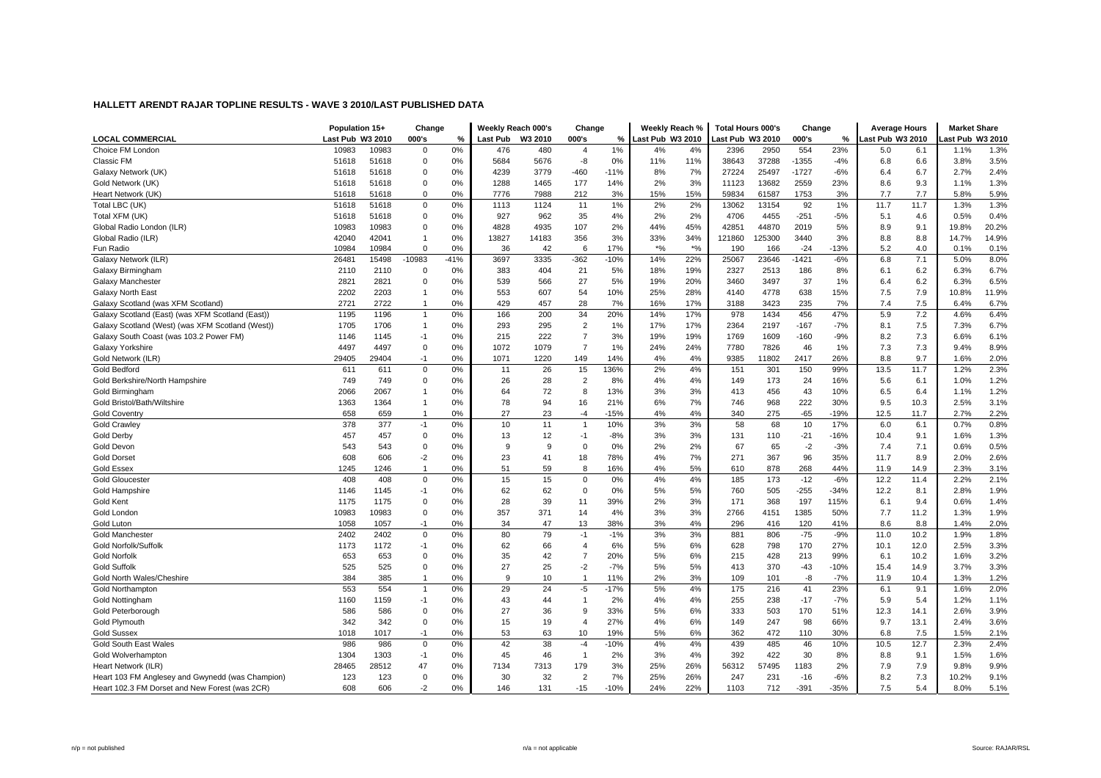|                                                  | Population 15+   |            | Change         |          | Weekly Reach 000's |         | Change              |        | Weekly Reach %                 |          | <b>Total Hours 000's</b> |        | Change  |        | <b>Average Hours</b> |      | <b>Market Share</b> |       |
|--------------------------------------------------|------------------|------------|----------------|----------|--------------------|---------|---------------------|--------|--------------------------------|----------|--------------------------|--------|---------|--------|----------------------|------|---------------------|-------|
| <b>LOCAL COMMERCIAL</b>                          | Last Pub W3 2010 |            | 000's          | %        | <b>Last Pub</b>    | W3 2010 | 000's               | %      | ast Pub W3 2010                |          | ast Pub W3 2010          |        | 000's   | %      | ast Pub W3 2010      |      | ast Pub W3 2010     |       |
| Choice FM London                                 | 10983            | 10983      | $\mathbf 0$    | 0%       | 476                | 480     | $\overline{4}$      | 1%     | 4%                             | 4%       | 2396                     | 2950   | 554     | 23%    | 5.0                  | 6.1  | 1.1%                | 1.3%  |
| Classic FM                                       | 51618            | 51618      | $\mathbf 0$    | 0%       | 5684               | 5676    | -8                  | 0%     | 11%                            | 11%      | 38643                    | 37288  | $-1355$ | $-4%$  | 6.8                  | 6.6  | 3.8%                | 3.5%  |
| Galaxy Network (UK)                              | 51618            | 51618      | $\mathbf 0$    | 0%       | 4239               | 3779    | $-460$              | $-11%$ | 8%                             | 7%       | 27224                    | 25497  | $-1727$ | $-6%$  | 6.4                  | 6.7  | 2.7%                | 2.4%  |
| Gold Network (UK)                                | 51618            | 51618      | $\mathbf 0$    | 0%       | 1288               | 1465    | 177                 | 14%    | 2%                             | 3%       | 11123                    | 13682  | 2559    | 23%    | 8.6                  | 9.3  | 1.1%                | 1.3%  |
| Heart Network (UK)                               | 51618            | 51618      | $\mathbf 0$    | 0%       | 7776               | 7988    | 212                 | 3%     | 15%                            | 15%      | 59834                    | 61587  | 1753    | 3%     | 7.7                  | 7.7  | 5.8%                | 5.9%  |
| Total LBC (UK)                                   | 51618            | 51618      | $\mathbf 0$    | 0%       | 1113               | 1124    | 11                  | 1%     | 2%                             | 2%       | 13062                    | 13154  | 92      | 1%     | 11.7                 | 11.7 | 1.3%                | 1.3%  |
| Total XFM (UK)                                   | 51618            | 51618      | $\Omega$       | 0%       | 927                | 962     | 35                  | 4%     | 2%                             | 2%       | 4706                     | 4455   | $-251$  | $-5%$  | 5.1                  | 4.6  | 0.5%                | 0.4%  |
| Global Radio London (ILR)                        | 10983            | 10983      | $\mathbf 0$    | 0%       | 4828               | 4935    | 107                 | 2%     | 44%                            | 45%      | 42851                    | 44870  | 2019    | 5%     | 8.9                  | 9.1  | 19.8%               | 20.2% |
| Global Radio (ILR)                               | 42040            | 42041      | $\overline{1}$ | 0%       | 13827              | 14183   | 356                 | 3%     | 33%                            | 34%      | 121860                   | 125300 | 3440    | 3%     | 8.8                  | 8.8  | 14.7%               | 14.9% |
| Fun Radio                                        | 10984            | 10984      | $\Omega$       | 0%       | 36                 | 42      | 6                   | 17%    | $\star\mathrm{o}_{\mathrm{6}}$ | $*$ %    | 190                      | 166    | $-24$   | $-13%$ | 5.2                  | 4.0  | 0.1%                | 0.1%  |
| Galaxy Network (ILR)                             | 26481            | 15498      | -10983         | $-41%$   | 3697               | 3335    | $-362$              | $-10%$ | 14%                            | 22%      | 25067                    | 23646  | $-1421$ | $-6%$  | 6.8                  | 7.1  | 5.0%                | 8.0%  |
| Galaxy Birmingham                                | 2110             | 2110       | $\Omega$       | 0%       | 383                | 404     | 21                  | 5%     | 18%                            | 19%      | 2327                     | 2513   | 186     | 8%     | 6.1                  | 6.2  | 6.3%                | 6.7%  |
| Galaxy Manchester                                | 2821             | 2821       | $\mathbf 0$    | 0%       | 539                | 566     | 27                  | 5%     | 19%                            | 20%      | 3460                     | 3497   | 37      | 1%     | 6.4                  | 6.2  | 6.3%                | 6.5%  |
| <b>Galaxy North East</b>                         | 2202             | 2203       | $\overline{1}$ | 0%       | 553                | 607     | 54                  | 10%    | 25%                            | 28%      | 4140                     | 4778   | 638     | 15%    | 7.5                  | 7.9  | 10.8%               | 11.9% |
| Galaxy Scotland (was XFM Scotland)               | 2721             | 2722       | $\overline{1}$ | 0%       | 429                | 457     | 28                  | 7%     | 16%                            | 17%      | 3188                     | 3423   | 235     | 7%     | 7.4                  | 7.5  | 6.4%                | 6.7%  |
| Galaxy Scotland (East) (was XFM Scotland (East)) | 1195             | 1196       | $\overline{1}$ | 0%       | 166                | 200     | 34                  | 20%    | 14%                            | 17%      | 978                      | 1434   | 456     | 47%    | 5.9                  | 7.2  | 4.6%                | 6.4%  |
| Galaxy Scotland (West) (was XFM Scotland (West)) | 1705             | 1706       | $\overline{1}$ | 0%       | 293                | 295     | $\overline{2}$      | 1%     | 17%                            | 17%      | 2364                     | 2197   | $-167$  | $-7%$  | 8.1                  | 7.5  | 7.3%                | 6.7%  |
| Galaxy South Coast (was 103.2 Power FM)          | 1146             | 1145       | $-1$           | 0%       | 215                | 222     | $\overline{7}$      | 3%     | 19%                            | 19%      | 1769                     | 1609   | $-160$  | $-9%$  | 8.2                  | 7.3  | 6.6%                | 6.1%  |
| Galaxy Yorkshire                                 | 4497             | 4497       | $\mathbf 0$    | 0%       | 1072               | 1079    | $\overline{7}$      | 1%     | 24%                            | 24%      | 7780                     | 7826   | 46      | 1%     | 7.3                  | 7.3  | 9.4%                | 8.9%  |
| Gold Network (ILR)                               | 29405            | 29404      | $-1$           | 0%       | 1071               | 1220    | 149                 | 14%    | 4%                             | 4%       | 9385                     | 11802  | 2417    | 26%    | 8.8                  | 9.7  | 1.6%                | 2.0%  |
| Gold Bedford                                     | 611              | 611        | $\mathbf 0$    | 0%       | 11                 | 26      | 15                  | 136%   | 2%                             | 4%       | 151                      | 301    | 150     | 99%    | 13.5                 | 11.7 | 1.2%                | 2.3%  |
| Gold Berkshire/North Hampshire                   | 749              | 749        | $\mathbf 0$    | 0%       | 26                 | 28      | $\overline{2}$      | 8%     | 4%                             | 4%       | 149                      | 173    | 24      | 16%    | 5.6                  | 6.1  | 1.0%                | 1.2%  |
| Gold Birmingham                                  | 2066             | 2067       | $\overline{1}$ | 0%       | 64                 | 72      | -8                  | 13%    | 3%                             | 3%       | 413                      | 456    | 43      | 10%    | 6.5                  | 6.4  | 1.1%                | 1.2%  |
| Gold Bristol/Bath/Wiltshire                      | 1363             | 1364       | $\overline{1}$ | 0%       | 78                 | 94      | 16                  | 21%    | 6%                             | 7%       | 746                      | 968    | 222     | 30%    | 9.5                  | 10.3 | 2.5%                | 3.1%  |
| <b>Gold Coventry</b>                             | 658              | 659        | $\overline{1}$ | 0%       | 27                 | 23      | $-4$                | $-15%$ | 4%                             | 4%       | 340                      | 275    | $-65$   | $-19%$ | 12.5                 | 11.7 | 2.7%                | 2.2%  |
| <b>Gold Crawley</b>                              | 378              | 377        | $-1$           | 0%       | 10                 | 11      | $\overline{1}$      | 10%    | 3%                             | 3%       | 58                       | 68     | 10      | 17%    | 6.0                  | 6.1  | 0.7%                | 0.8%  |
| Gold Derby                                       | 457              | 457        | $\mathbf 0$    | 0%       | 13                 | 12      | $-1$                | $-8%$  | 3%                             | 3%       | 131                      | 110    | $-21$   | $-16%$ | 10.4                 | 9.1  | 1.6%                | 1.3%  |
| Gold Devon                                       | 543              | 543        | $\Omega$       | 0%       | 9                  | 9       | $\Omega$            | 0%     | 2%                             | 2%       | 67                       | 65     | $-2$    | $-3%$  | 7.4                  | 7.1  | 0.6%                | 0.5%  |
| <b>Gold Dorset</b>                               | 608              | 606        | $-2$           | 0%       | 23                 | 41      | 18                  | 78%    | 4%                             | 7%       | 271                      | 367    | 96      | 35%    | 11.7                 | 8.9  | 2.0%                | 2.6%  |
| <b>Gold Essex</b>                                | 1245             | 1246       | $\overline{1}$ | 0%       | 51                 | 59      | 8                   | 16%    | 4%                             | 5%       | 610                      | 878    | 268     | 44%    | 11.9                 | 14.9 | 2.3%                | 3.1%  |
| <b>Gold Gloucester</b>                           | 408              | 408        | $\mathbf 0$    | 0%       | 15                 | 15      | $\mathbf 0$         | 0%     | 4%                             | 4%       | 185                      | 173    | $-12$   | $-6%$  | 12.2                 | 11.4 | 2.2%                | 2.1%  |
| Gold Hampshire                                   | 1146             | 1145       | $-1$           | 0%       | 62                 | 62      | $\mathbf 0$         | 0%     | 5%                             | 5%       | 760                      | 505    | $-255$  | $-34%$ | 12.2                 | 8.1  | 2.8%                | 1.9%  |
| Gold Kent                                        | 1175             | 1175       | $\mathbf 0$    | 0%       | 28                 | 39      | 11                  | 39%    | 2%                             | 3%       | 171                      | 368    | 197     | 115%   | 6.1                  | 9.4  | 0.6%                | 1.4%  |
| Gold London                                      | 10983            | 10983      | $\mathbf 0$    | 0%       | 357                | 371     | 14                  | 4%     | 3%                             | 3%       | 2766                     | 4151   | 1385    | 50%    | 7.7                  | 11.2 | 1.3%                | 1.9%  |
| Gold Luton                                       | 1058             | 1057       | $-1$           | 0%       | 34                 | 47      | 13                  | 38%    | 3%                             | 4%       | 296                      | 416    | 120     | 41%    | 8.6                  | 8.8  | 1.4%                | 2.0%  |
| <b>Gold Manchester</b>                           | 2402             | 2402       | $\mathbf 0$    | 0%       | 80                 | 79      | $-1$                | $-1%$  | 3%                             | 3%       | 881                      | 806    | $-75$   | $-9%$  | 11.0                 | 10.2 | 1.9%                | 1.8%  |
| Gold Norfolk/Suffolk                             | 1173             | 1172       | $-1$           | 0%       | 62                 | 66      | $\overline{4}$      | 6%     | 5%                             | 6%       | 628                      | 798    | 170     | 27%    | 10.1                 | 12.0 | 2.5%                | 3.3%  |
| <b>Gold Norfolk</b>                              | 653              | 653        | $\mathbf 0$    | 0%       | 35                 | 42      | $\overline{7}$      | 20%    | 5%                             | 6%       | 215                      | 428    | 213     | 99%    | 6.1                  | 10.2 | 1.6%                | 3.2%  |
| <b>Gold Suffolk</b>                              | 525              | 525        | $\Omega$       | 0%       | 27                 | 25      | $-2$                | $-7%$  | 5%                             | 5%       | 413                      | 370    | $-43$   | $-10%$ | 15.4                 | 14.9 | 3.7%                | 3.3%  |
| Gold North Wales/Cheshire                        | 384              | 385        | $\overline{1}$ | 0%       | 9                  | 10      | $\overline{1}$      | 11%    | 2%                             | 3%       | 109                      | 101    | $-8$    | $-7%$  | 11.9                 | 10.4 | 1.3%                | 1.2%  |
| <b>Gold Northamptor</b>                          | 553              | 554        | $\overline{1}$ | 0%       | 29                 | 24      | $-5$                | $-17%$ | 5%                             | 4%       | 175                      | 216    | 41      | 23%    | 6.1                  | 9.1  | 1.6%                | 2.0%  |
|                                                  | 1160             | 1159       | $-1$           | 0%       | 43                 | 44      | $\overline{1}$      | 2%     |                                | 4%       | 255                      | 238    | $-17$   | $-7%$  |                      | 5.4  | 1.2%                | 1.1%  |
| Gold Nottingham                                  |                  |            |                |          |                    |         |                     |        | 4%                             |          |                          |        |         |        | 5.9                  |      |                     |       |
| Gold Peterborough                                | 586              | 586<br>342 | $\mathbf 0$    | 0%<br>0% | 27                 | 36      | 9<br>$\overline{4}$ | 33%    | 5%                             | 6%<br>6% | 333                      | 503    | 170     | 51%    | 12.3                 | 14.1 | 2.6%                | 3.9%  |
| Gold Plymouth                                    | 342              |            | $\mathbf 0$    |          | 15                 | 19      |                     | 27%    | 4%                             |          | 149                      | 247    | 98      | 66%    | 9.7                  | 13.1 | 2.4%                | 3.6%  |
| <b>Gold Sussex</b>                               | 1018             | 1017       | $-1$           | 0%       | 53                 | 63      | 10                  | 19%    | 5%                             | 6%       | 362                      | 472    | 110     | 30%    | 6.8                  | 7.5  | 1.5%                | 2.1%  |
| <b>Gold South East Wales</b>                     | 986              | 986        | $\mathbf 0$    | 0%       | 42                 | 38      | $-4$                | $-10%$ | 4%                             | 4%       | 439                      | 485    | 46      | 10%    | 10.5                 | 12.7 | 2.3%                | 2.4%  |
| Gold Wolverhampton                               | 1304             | 1303       | $-1$           | 0%       | 45                 | 46      | $\overline{1}$      | 2%     | 3%                             | 4%       | 392                      | 422    | 30      | 8%     | 8.8                  | 9.1  | 1.5%                | 1.6%  |
| Heart Network (ILR)                              | 28465            | 28512      | 47             | 0%       | 7134               | 7313    | 179                 | 3%     | 25%                            | 26%      | 56312                    | 57495  | 1183    | 2%     | 7.9                  | 7.9  | 9.8%                | 9.9%  |
| Heart 103 FM Anglesey and Gwynedd (was Champion) | 123              | 123        | $\mathbf 0$    | 0%       | 30                 | 32      | $\overline{2}$      | 7%     | 25%                            | 26%      | 247                      | 231    | $-16$   | $-6%$  | 8.2                  | 7.3  | 10.2%               | 9.1%  |
| Heart 102.3 FM Dorset and New Forest (was 2CR)   | 608              | 606        | $-2$           | 0%       | 146                | 131     | $-15$               | $-10%$ | 24%                            | 22%      | 1103                     | 712    | $-391$  | $-35%$ | 7.5                  | 5.4  | 8.0%                | 5.1%  |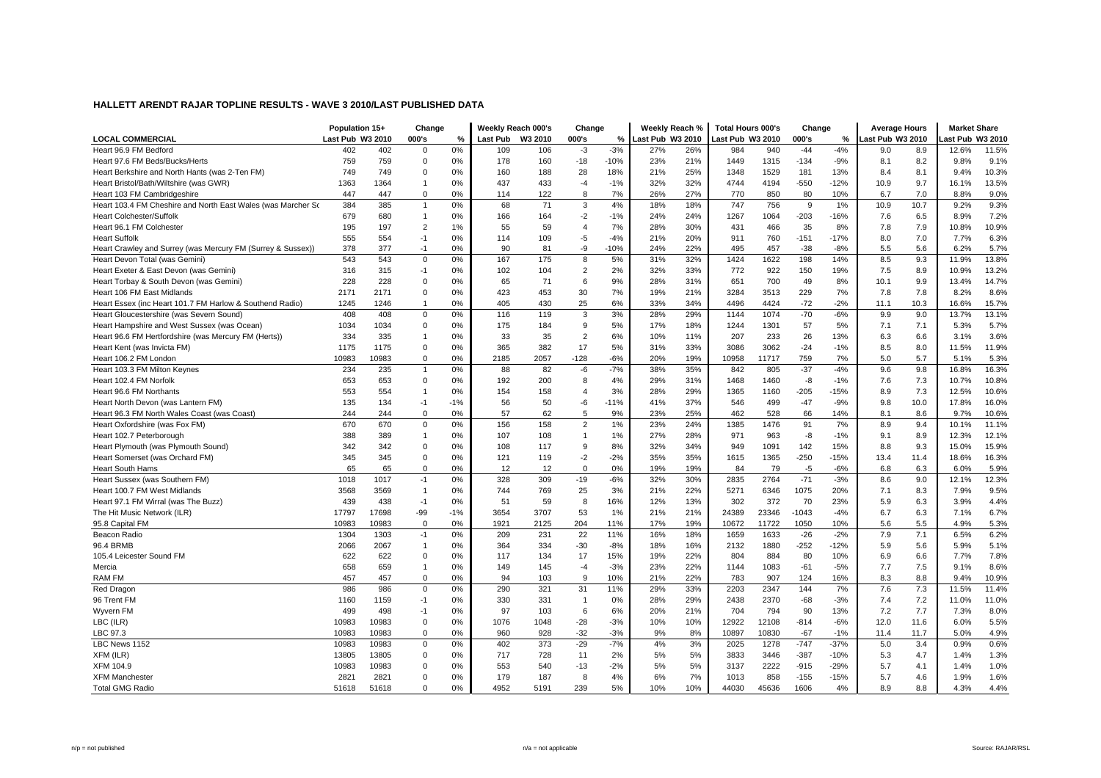|                                                              | Population 15+   |       | Change         |       | Weekly Reach 000's |         | Change         |        | Weekly Reach %   |     | <b>Total Hours 000's</b> |       | Change  |        | <b>Average Hours</b> |      | <b>Market Share</b> |       |
|--------------------------------------------------------------|------------------|-------|----------------|-------|--------------------|---------|----------------|--------|------------------|-----|--------------------------|-------|---------|--------|----------------------|------|---------------------|-------|
| <b>LOCAL COMMERCIAL</b>                                      | Last Pub W3 2010 |       | 000's          | %     | <b>Last Pub</b>    | W3 2010 | 000's          | $\%$   | Last Pub W3 2010 |     | Last Pub W3 2010         |       | 000's   | %      | Last Pub W3 2010     |      | ast Pub W3 2010     |       |
| Heart 96.9 FM Bedford                                        | 402              | 402   | $\Omega$       | 0%    | 109                | 106     | $-3$           | $-3%$  | 27%              | 26% | 984                      | 940   | $-44$   | $-4%$  | 9.0                  | 8.9  | 12.6%               | 11.5% |
| Heart 97.6 FM Beds/Bucks/Herts                               | 759              | 759   | $\Omega$       | 0%    | 178                | 160     | $-18$          | $-10%$ | 23%              | 21% | 1449                     | 1315  | $-134$  | $-9%$  | 8.1                  | 8.2  | 9.8%                | 9.1%  |
| Heart Berkshire and North Hants (was 2-Ten FM)               | 749              | 749   | $\Omega$       | 0%    | 160                | 188     | 28             | 18%    | 21%              | 25% | 1348                     | 1529  | 181     | 13%    | 8.4                  | 8.1  | 9.4%                | 10.3% |
| Heart Bristol/Bath/Wiltshire (was GWR)                       | 1363             | 1364  | $\mathbf{1}$   | 0%    | 437                | 433     | $-4$           | $-1%$  | 32%              | 32% | 4744                     | 4194  | $-550$  | $-12%$ | 10.9                 | 9.7  | 16.1%               | 13.5% |
| Heart 103 FM Cambridgeshire                                  | 447              | 447   | $\Omega$       | 0%    | 114                | 122     | 8              | 7%     | 26%              | 27% | 770                      | 850   | 80      | 10%    | 6.7                  | 7.0  | 8.8%                | 9.0%  |
| Heart 103.4 FM Cheshire and North East Wales (was Marcher Sc | 384              | 385   | $\overline{1}$ | 0%    | 68                 | 71      | 3              | 4%     | 18%              | 18% | 747                      | 756   | 9       | 1%     | 10.9                 | 10.7 | 9.2%                | 9.3%  |
| <b>Heart Colchester/Suffolk</b>                              | 679              | 680   | $\mathbf{1}$   | 0%    | 166                | 164     | $-2$           | $-1%$  | 24%              | 24% | 1267                     | 1064  | $-203$  | $-16%$ | 7.6                  | 6.5  | 8.9%                | 7.2%  |
| Heart 96.1 FM Colchester                                     | 195              | 197   | $\overline{2}$ | 1%    | 55                 | 59      | $\overline{4}$ | 7%     | 28%              | 30% | 431                      | 466   | 35      | 8%     | 7.8                  | 7.9  | 10.8%               | 10.9% |
| <b>Heart Suffolk</b>                                         | 555              | 554   | $-1$           | 0%    | 114                | 109     | -5             | $-4%$  | 21%              | 20% | 911                      | 760   | $-151$  | $-17%$ | 8.0                  | 7.0  | 7.7%                | 6.3%  |
| Heart Crawley and Surrey (was Mercury FM (Surrey & Sussex))  | 378              | 377   | $-1$           | 0%    | 90                 | 81      | -9             | $-10%$ | 24%              | 22% | 495                      | 457   | $-38$   | $-8%$  | 5.5                  | 5.6  | 6.2%                | 5.7%  |
| Heart Devon Total (was Gemini)                               | 543              | 543   | $\Omega$       | 0%    | 167                | 175     | 8              | 5%     | 31%              | 32% | 1424                     | 1622  | 198     | 14%    | 8.5                  | 9.3  | 11.9%               | 13.8% |
| Heart Exeter & East Devon (was Gemini)                       | 316              | 315   | $-1$           | 0%    | 102                | 104     | $\overline{c}$ | 2%     | 32%              | 33% | 772                      | 922   | 150     | 19%    | 7.5                  | 8.9  | 10.9%               | 13.2% |
| Heart Torbay & South Devon (was Gemini)                      | 228              | 228   | $\Omega$       | 0%    | 65                 | 71      | 6              | 9%     | 28%              | 31% | 651                      | 700   | 49      | 8%     | 10.1                 | 9.9  | 13.4%               | 14.7% |
| Heart 106 FM East Midlands                                   | 2171             | 2171  | $\Omega$       | 0%    | 423                | 453     | 30             | 7%     | 19%              | 21% | 3284                     | 3513  | 229     | 7%     | 7.8                  | 7.8  | 8.2%                | 8.6%  |
| Heart Essex (inc Heart 101.7 FM Harlow & Southend Radio)     | 1245             | 1246  | $\overline{1}$ | 0%    | 405                | 430     | 25             | 6%     | 33%              | 34% | 4496                     | 4424  | $-72$   | $-2%$  | 11.1                 | 10.3 | 16.6%               | 15.7% |
| Heart Gloucestershire (was Severn Sound)                     | 408              | 408   | $\mathbf 0$    | 0%    | 116                | 119     | 3              | 3%     | 28%              | 29% | 1144                     | 1074  | $-70$   | $-6%$  | 9.9                  | 9.0  | 13.7%               | 13.1% |
| Heart Hampshire and West Sussex (was Ocean)                  | 1034             | 1034  | $\Omega$       | 0%    | 175                | 184     | 9              | 5%     | 17%              | 18% | 1244                     | 1301  | 57      | 5%     | 7.1                  | 7.1  | 5.3%                | 5.7%  |
| Heart 96.6 FM Hertfordshire (was Mercury FM (Herts))         | 334              | 335   | $\mathbf{1}$   | 0%    | 33                 | 35      | $\overline{2}$ | 6%     | 10%              | 11% | 207                      | 233   | 26      | 13%    | 6.3                  | 6.6  | 3.1%                | 3.6%  |
| Heart Kent (was Invicta FM)                                  | 1175             | 1175  | $\Omega$       | 0%    | 365                | 382     | 17             | 5%     | 31%              | 33% | 3086                     | 3062  | $-24$   | $-1%$  | 8.5                  | 8.0  | 11.5%               | 11.9% |
| Heart 106.2 FM London                                        | 10983            | 10983 | $\Omega$       | 0%    | 2185               | 2057    | $-128$         | $-6%$  | 20%              | 19% | 10958                    | 11717 | 759     | 7%     | 5.0                  | 5.7  | 5.1%                | 5.3%  |
| Heart 103.3 FM Milton Keynes                                 | 234              | 235   | $\mathbf{1}$   | 0%    | 88                 | 82      | $-6$           | $-7%$  | 38%              | 35% | 842                      | 805   | $-37$   | $-4%$  | 9.6                  | 9.8  | 16.8%               | 16.3% |
| Heart 102.4 FM Norfolk                                       | 653              | 653   | $\Omega$       | 0%    | 192                | 200     | 8              | 4%     | 29%              | 31% | 1468                     | 1460  | $-8$    | $-1%$  | 7.6                  | 7.3  | 10.7%               | 10.8% |
| Heart 96.6 FM Northants                                      | 553              | 554   | $\overline{1}$ | 0%    | 154                | 158     | $\overline{4}$ | 3%     | 28%              | 29% | 1365                     | 1160  | $-205$  | $-15%$ | 8.9                  | 7.3  | 12.5%               | 10.6% |
| Heart North Devon (was Lantern FM)                           | 135              | 134   | $-1$           | $-1%$ | 56                 | 50      | -6             | $-11%$ | 41%              | 37% | 546                      | 499   | $-47$   | $-9%$  | 9.8                  | 10.0 | 17.8%               | 16.0% |
| Heart 96.3 FM North Wales Coast (was Coast)                  | 244              | 244   | $\mathbf 0$    | 0%    | 57                 | 62      | 5              | 9%     | 23%              | 25% | 462                      | 528   | 66      | 14%    | 8.1                  | 8.6  | 9.7%                | 10.6% |
| Heart Oxfordshire (was Fox FM)                               | 670              | 670   | $\Omega$       | 0%    | 156                | 158     | $\overline{2}$ | $1\%$  | 23%              | 24% | 1385                     | 1476  | 91      | 7%     | 8.9                  | 9.4  | 10.1%               | 11.1% |
| Heart 102.7 Peterborough                                     | 388              | 389   | $\mathbf{1}$   | 0%    | 107                | 108     | $\mathbf{1}$   | 1%     | 27%              | 28% | 971                      | 963   | $-8$    | $-1%$  | 9.1                  | 8.9  | 12.3%               | 12.1% |
| Heart Plymouth (was Plymouth Sound)                          | 342              | 342   | $\Omega$       | 0%    | 108                | 117     | 9              | 8%     | 32%              | 34% | 949                      | 1091  | 142     | 15%    | 8.8                  | 9.3  | 15.0%               | 15.9% |
| Heart Somerset (was Orchard FM)                              | 345              | 345   | $\Omega$       | 0%    | 121                | 119     | $-2$           | $-2%$  | 35%              | 35% | 1615                     | 1365  | $-250$  | $-15%$ | 13.4                 | 11.4 | 18.6%               | 16.3% |
| <b>Heart South Hams</b>                                      | 65               | 65    | $\Omega$       | 0%    | 12                 | 12      | $\Omega$       | 0%     | 19%              | 19% | 84                       | 79    | -5      | $-6%$  | 6.8                  | 6.3  | 6.0%                | 5.9%  |
| Heart Sussex (was Southern FM)                               | 1018             | 1017  | $-1$           | 0%    | 328                | 309     | $-19$          | $-6%$  | 32%              | 30% | 2835                     | 2764  | $-71$   | $-3%$  | 8.6                  | 9.0  | 12.1%               | 12.3% |
| Heart 100.7 FM West Midlands                                 | 3568             | 3569  | $\mathbf{1}$   | 0%    | 744                | 769     | 25             | 3%     | 21%              | 22% | 5271                     | 6346  | 1075    | 20%    | 7.1                  | 8.3  | 7.9%                | 9.5%  |
| Heart 97.1 FM Wirral (was The Buzz)                          | 439              | 438   | $-1$           | 0%    | 51                 | 59      | 8              | 16%    | 12%              | 13% | 302                      | 372   | 70      | 23%    | 5.9                  | 6.3  | 3.9%                | 4.4%  |
| The Hit Music Network (ILR)                                  | 17797            | 17698 | $-99$          | $-1%$ | 3654               | 3707    | 53             | 1%     | 21%              | 21% | 24389                    | 23346 | $-1043$ | $-4%$  | 6.7                  | 6.3  | 7.1%                | 6.7%  |
| 95.8 Capital FM                                              | 10983            | 10983 | $\mathbf 0$    | 0%    | 1921               | 2125    | 204            | 11%    | 17%              | 19% | 10672                    | 11722 | 1050    | 10%    | 5.6                  | 5.5  | 4.9%                | 5.3%  |
| Beacon Radio                                                 | 1304             | 1303  | $-1$           | 0%    | 209                | 231     | 22             | 11%    | 16%              | 18% | 1659                     | 1633  | $-26$   | $-2%$  | 7.9                  | 7.1  | 6.5%                | 6.2%  |
| 96.4 BRMB                                                    | 2066             | 2067  | $\mathbf{1}$   | 0%    | 364                | 334     | $-30$          | $-8%$  | 18%              | 16% | 2132                     | 1880  | $-252$  | $-12%$ | 5.9                  | 5.6  | 5.9%                | 5.1%  |
| 105.4 Leicester Sound FM                                     | 622              | 622   | $\Omega$       | 0%    | 117                | 134     | 17             | 15%    | 19%              | 22% | 804                      | 884   | 80      | 10%    | 6.9                  | 6.6  | 7.7%                | 7.8%  |
| Mercia                                                       | 658              | 659   | $\mathbf{1}$   | 0%    | 149                | 145     | $-4$           | $-3%$  | 23%              | 22% | 1144                     | 1083  | $-61$   | $-5%$  | 7.7                  | 7.5  | 9.1%                | 8.6%  |
| RAM FM                                                       | 457              | 457   | $\Omega$       | 0%    | 94                 | 103     | 9              | 10%    | 21%              | 22% | 783                      | 907   | 124     | 16%    | 8.3                  | 8.8  | 9.4%                | 10.9% |
| Red Dragon                                                   | 986              | 986   | $\Omega$       | 0%    | 290                | 321     | 31             | 11%    | 29%              | 33% | 2203                     | 2347  | 144     | 7%     | 7.6                  | 7.3  | 11.5%               | 11.4% |
| 96 Trent FM                                                  | 1160             | 1159  | $-1$           | 0%    | 330                | 331     | $\mathbf{1}$   | 0%     | 28%              | 29% | 2438                     | 2370  | $-68$   | $-3%$  | 7.4                  | 7.2  | 11.0%               | 11.0% |
| Wyvern FM                                                    | 499              | 498   | $-1$           | 0%    | 97                 | 103     | 6              | 6%     | 20%              | 21% | 704                      | 794   | 90      | 13%    | 7.2                  | 7.7  | 7.3%                | 8.0%  |
| LBC (ILR)                                                    | 10983            | 10983 | $\Omega$       | 0%    | 1076               | 1048    | $-28$          | $-3%$  | 10%              | 10% | 12922                    | 12108 | $-814$  | $-6%$  | 12.0                 | 11.6 | 6.0%                | 5.5%  |
| LBC 97.3                                                     | 10983            | 10983 | $\Omega$       | 0%    | 960                | 928     | $-32$          | $-3%$  | 9%               | 8%  | 10897                    | 10830 | $-67$   | $-1%$  | 11.4                 | 11.7 | 5.0%                | 4.9%  |
| LBC News 1152                                                | 10983            | 10983 | $\Omega$       | 0%    | 402                | 373     | $-29$          | $-7%$  | 4%               | 3%  | 2025                     | 1278  | $-747$  | $-37%$ | 5.0                  | 3.4  | 0.9%                | 0.6%  |
| XFM (ILR)                                                    | 13805            | 13805 | $\Omega$       | 0%    | 717                | 728     | 11             | 2%     | 5%               | 5%  | 3833                     | 3446  | $-387$  | $-10%$ | 5.3                  | 4.7  | 1.4%                | 1.3%  |
| XFM 104.9                                                    | 10983            | 10983 | $\Omega$       | 0%    | 553                | 540     | $-13$          | $-2%$  | 5%               | 5%  | 3137                     | 2222  | $-915$  | $-29%$ | 5.7                  | 4.1  | 1.4%                | 1.0%  |
| <b>XFM Manchester</b>                                        | 2821             | 2821  | $\Omega$       | 0%    | 179                | 187     | 8              | 4%     | 6%               | 7%  | 1013                     | 858   | $-155$  | $-15%$ | 5.7                  | 4.6  | 1.9%                | 1.6%  |
| <b>Total GMG Radio</b>                                       | 51618            | 51618 | $\Omega$       | 0%    | 4952               | 5191    | 239            | 5%     | 10%              | 10% | 44030                    | 45636 | 1606    | 4%     | 8.9                  | 8.8  | 4.3%                | 4.4%  |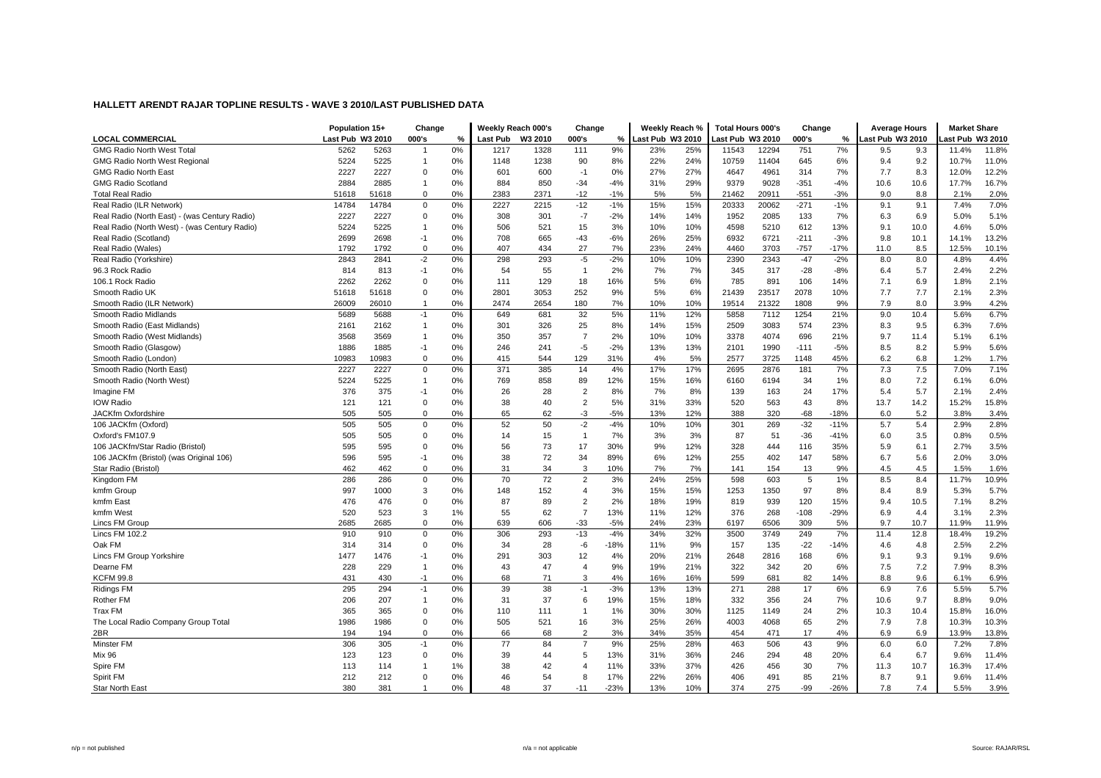|                                               | Population 15+   |       | Change         |    | Weekly Reach 000's |         | Change         |        | Weekly Reach %  |     | Total Hours 000's |       | Change |        | <b>Average Hours</b> |      | <b>Market Share</b> |       |
|-----------------------------------------------|------------------|-------|----------------|----|--------------------|---------|----------------|--------|-----------------|-----|-------------------|-------|--------|--------|----------------------|------|---------------------|-------|
| <b>LOCAL COMMERCIAL</b>                       | Last Pub W3 2010 |       | 000's          | %  | Last Pub           | W3 2010 | 000's          | $\%$   | ast Pub W3 2010 |     | ast Pub W3 2010   |       | 000's  | $\%$   | ast Pub W3 2010      |      | ast Pub W3 2010     |       |
| <b>GMG Radio North West Total</b>             | 5262             | 5263  | $\overline{1}$ | 0% | 1217               | 1328    | 111            | 9%     | 23%             | 25% | 11543             | 12294 | 751    | 7%     | 9.5                  | 9.3  | 11.4%               | 11.8% |
| <b>GMG Radio North West Regional</b>          | 5224             | 5225  | -1             | 0% | 1148               | 1238    | 90             | 8%     | 22%             | 24% | 10759             | 11404 | 645    | 6%     | 9.4                  | 9.2  | 10.7%               | 11.0% |
| GMG Radio North East                          | 2227             | 2227  | $\mathbf 0$    | 0% | 601                | 600     | $-1$           | 0%     | 27%             | 27% | 4647              | 4961  | 314    | 7%     | 7.7                  | 8.3  | 12.0%               | 12.2% |
| <b>GMG Radio Scotland</b>                     | 2884             | 2885  | $\overline{1}$ | 0% | 884                | 850     | $-34$          | $-4%$  | 31%             | 29% | 9379              | 9028  | $-351$ | $-4%$  | 10.6                 | 10.6 | 17.7%               | 16.7% |
| <b>Total Real Radio</b>                       | 51618            | 51618 | $\mathbf 0$    | 0% | 2383               | 2371    | $-12$          | $-1%$  | 5%              | 5%  | 21462             | 20911 | $-551$ | $-3%$  | 9.0                  | 8.8  | 2.1%                | 2.0%  |
| Real Radio (ILR Network)                      | 14784            | 14784 | $\Omega$       | 0% | 2227               | 2215    | $-12$          | $-1%$  | 15%             | 15% | 20333             | 20062 | $-271$ | $-1%$  | 9.1                  | 9.1  | 7.4%                | 7.0%  |
| Real Radio (North East) - (was Century Radio) | 2227             | 2227  | $\mathbf 0$    | 0% | 308                | 301     | $-7$           | $-2%$  | 14%             | 14% | 1952              | 2085  | 133    | 7%     | 6.3                  | 6.9  | 5.0%                | 5.1%  |
| Real Radio (North West) - (was Century Radio) | 5224             | 5225  | $\overline{1}$ | 0% | 506                | 521     | 15             | 3%     | 10%             | 10% | 4598              | 5210  | 612    | 13%    | 9.1                  | 10.0 | 4.6%                | 5.0%  |
| Real Radio (Scotland)                         | 2699             | 2698  | $-1$           | 0% | 708                | 665     | $-43$          | $-6%$  | 26%             | 25% | 6932              | 6721  | $-211$ | $-3%$  | 9.8                  | 10.1 | 14.1%               | 13.2% |
| Real Radio (Wales)                            | 1792             | 1792  | $\mathbf 0$    | 0% | 407                | 434     | 27             | 7%     | 23%             | 24% | 4460              | 3703  | $-757$ | $-17%$ | 11.0                 | 8.5  | 12.5%               | 10.1% |
| Real Radio (Yorkshire)                        | 2843             | 2841  | $-2$           | 0% | 298                | 293     | $-5$           | $-2%$  | 10%             | 10% | 2390              | 2343  | $-47$  | $-2%$  | 8.0                  | 8.0  | 4.8%                | 4.4%  |
| 96.3 Rock Radio                               | 814              | 813   | $-1$           | 0% | 54                 | 55      | $\mathbf{1}$   | 2%     | 7%              | 7%  | 345               | 317   | $-28$  | $-8%$  | 6.4                  | 5.7  | 2.4%                | 2.2%  |
| 106.1 Rock Radio                              | 2262             | 2262  | $\mathbf 0$    | 0% | 111                | 129     | 18             | 16%    | 5%              | 6%  | 785               | 891   | 106    | 14%    | 7.1                  | 6.9  | 1.8%                | 2.1%  |
| Smooth Radio UK                               | 51618            | 51618 | $\mathbf 0$    | 0% | 2801               | 3053    | 252            | 9%     | 5%              | 6%  | 21439             | 23517 | 2078   | 10%    | 7.7                  | 7.7  | 2.1%                | 2.3%  |
| Smooth Radio (ILR Network)                    | 26009            | 26010 | $\overline{1}$ | 0% | 2474               | 2654    | 180            | 7%     | 10%             | 10% | 19514             | 21322 | 1808   | 9%     | 7.9                  | 8.0  | 3.9%                | 4.2%  |
| Smooth Radio Midlands                         | 5689             | 5688  | $-1$           | 0% | 649                | 681     | 32             | 5%     | 11%             | 12% | 5858              | 7112  | 1254   | 21%    | 9.0                  | 10.4 | 5.6%                | 6.7%  |
| Smooth Radio (East Midlands)                  | 2161             | 2162  | $\overline{1}$ | 0% | 301                | 326     | 25             | 8%     | 14%             | 15% | 2509              | 3083  | 574    | 23%    | 8.3                  | 9.5  | 6.3%                | 7.6%  |
| Smooth Radio (West Midlands)                  | 3568             | 3569  | $\overline{1}$ | 0% | 350                | 357     | $\overline{7}$ | 2%     | 10%             | 10% | 3378              | 4074  | 696    | 21%    | 9.7                  | 11.4 | 5.1%                | 6.1%  |
| Smooth Radio (Glasgow)                        | 1886             | 1885  | $-1$           | 0% | 246                | 241     | $-5$           | $-2%$  | 13%             | 13% | 2101              | 1990  | $-111$ | $-5%$  | 8.5                  | 8.2  | 5.9%                | 5.6%  |
| Smooth Radio (London)                         | 10983            | 10983 | $\mathbf 0$    | 0% | 415                | 544     | 129            | 31%    | 4%              | 5%  | 2577              | 3725  | 1148   | 45%    | 6.2                  | 6.8  | 1.2%                | 1.7%  |
| Smooth Radio (North East)                     | 2227             | 2227  | $\mathbf 0$    | 0% | 371                | 385     | 14             | 4%     | 17%             | 17% | 2695              | 2876  | 181    | 7%     | 7.3                  | 7.5  | 7.0%                | 7.1%  |
| Smooth Radio (North West)                     | 5224             | 5225  | $\overline{1}$ | 0% | 769                | 858     | 89             | 12%    | 15%             | 16% | 6160              | 6194  | 34     | 1%     | 8.0                  | 7.2  | 6.1%                | 6.0%  |
| Imagine FM                                    | 376              | 375   | $-1$           | 0% | 26                 | 28      | $\overline{2}$ | 8%     | 7%              | 8%  | 139               | 163   | 24     | 17%    | 5.4                  | 5.7  | 2.1%                | 2.4%  |
| <b>IOW Radio</b>                              | 121              | 121   | $\mathbf 0$    | 0% | 38                 | 40      | $\overline{2}$ | 5%     | 31%             | 33% | 520               | 563   | 43     | 8%     | 13.7                 | 14.2 | 15.2%               | 15.8% |
| JACKfm Oxfordshire                            | 505              | 505   | $\mathbf 0$    | 0% | 65                 | 62      | $-3$           | $-5%$  | 13%             | 12% | 388               | 320   | $-68$  | $-18%$ | 6.0                  | 5.2  | 3.8%                | 3.4%  |
| 106 JACKfm (Oxford)                           | 505              | 505   | $\Omega$       | 0% | 52                 | 50      | $-2$           | $-4%$  | 10%             | 10% | 301               | 269   | $-32$  | $-11%$ | 5.7                  | 5.4  | 2.9%                | 2.8%  |
| Oxford's FM107.9                              | 505              | 505   | $\mathbf 0$    | 0% | 14                 | 15      | $\mathbf{1}$   | 7%     | 3%              | 3%  | 87                | 51    | $-36$  | $-41%$ | 6.0                  | 3.5  | 0.8%                | 0.5%  |
| 106 JACKfm/Star Radio (Bristol)               | 595              | 595   | $\mathbf 0$    | 0% | 56                 | 73      | 17             | 30%    | 9%              | 12% | 328               | 444   | 116    | 35%    | 5.9                  | 6.1  | 2.7%                | 3.5%  |
| 106 JACKfm (Bristol) (was Original 106)       | 596              | 595   | -1             | 0% | 38                 | 72      | 34             | 89%    | 6%              | 12% | 255               | 402   | 147    | 58%    | 6.7                  | 5.6  | 2.0%                | 3.0%  |
| Star Radio (Bristol)                          | 462              | 462   | $\mathbf 0$    | 0% | 31                 | 34      | 3              | 10%    | 7%              | 7%  | 141               | 154   | 13     | 9%     | 4.5                  | 4.5  | 1.5%                | 1.6%  |
| Kingdom FM                                    | 286              | 286   | $\mathbf 0$    | 0% | 70                 | 72      | $\overline{2}$ | 3%     | 24%             | 25% | 598               | 603   | 5      | 1%     | 8.5                  | 8.4  | 11.7%               | 10.9% |
| kmfm Group                                    | 997              | 1000  | 3              | 0% | 148                | 152     | $\overline{4}$ | 3%     | 15%             | 15% | 1253              | 1350  | 97     | 8%     | 8.4                  | 8.9  | 5.3%                | 5.7%  |
| kmfm East                                     | 476              | 476   | $\mathbf 0$    | 0% | 87                 | 89      | $\overline{2}$ | 2%     | 18%             | 19% | 819               | 939   | 120    | 15%    | 9.4                  | 10.5 | 7.1%                | 8.2%  |
| kmfm West                                     | 520              | 523   | 3              | 1% | 55                 | 62      | $\overline{7}$ | 13%    | 11%             | 12% | 376               | 268   | $-108$ | $-29%$ | 6.9                  | 4.4  | 3.1%                | 2.3%  |
| Lincs FM Group                                | 2685             | 2685  | $\Omega$       | 0% | 639                | 606     | $-33$          | $-5%$  | 24%             | 23% | 6197              | 6506  | 309    | 5%     | 9.7                  | 10.7 | 11.9%               | 11.9% |
| <b>Lincs FM 102.2</b>                         | 910              | 910   | $\Omega$       | 0% | 306                | 293     | $-13$          | $-4%$  | 34%             | 32% | 3500              | 3749  | 249    | 7%     | 11.4                 | 12.8 | 18.4%               | 19.2% |
| Oak FM                                        | 314              | 314   | $\mathbf 0$    | 0% | 34                 | 28      | -6             | $-18%$ | 11%             | 9%  | 157               | 135   | $-22$  | $-14%$ | 4.6                  | 4.8  | 2.5%                | 2.2%  |
| Lincs FM Group Yorkshire                      | 1477             | 1476  | $-1$           | 0% | 291                | 303     | 12             | 4%     | 20%             | 21% | 2648              | 2816  | 168    | 6%     | 9.1                  | 9.3  | 9.1%                | 9.6%  |
| Dearne FM                                     | 228              | 229   | $\overline{1}$ | 0% | 43                 | 47      | $\overline{4}$ | 9%     | 19%             | 21% | 322               | 342   | 20     | 6%     | 7.5                  | 7.2  | 7.9%                | 8.3%  |
| KCFM 99.8                                     | 431              | 430   | $-1$           | 0% | 68                 | 71      | 3              | 4%     | 16%             | 16% | 599               | 681   | 82     | 14%    | 8.8                  | 9.6  | 6.1%                | 6.9%  |
| Ridings FM                                    | 295              | 294   | $-1$           | 0% | 39                 | 38      | $-1$           | $-3%$  | 13%             | 13% | 271               | 288   | 17     | 6%     | 6.9                  | 7.6  | 5.5%                | 5.7%  |
| Rother FM                                     | 206              | 207   | $\overline{1}$ | 0% | 31                 | 37      | 6              | 19%    | 15%             | 18% | 332               | 356   | 24     | 7%     | 10.6                 | 9.7  | 8.8%                | 9.0%  |
| <b>Trax FM</b>                                | 365              | 365   | $\mathbf 0$    | 0% | 110                | 111     | $\overline{1}$ | 1%     | 30%             | 30% | 1125              | 1149  | 24     | 2%     | 10.3                 | 10.4 | 15.8%               | 16.0% |
| The Local Radio Company Group Total           | 1986             | 1986  | $\mathbf 0$    | 0% | 505                | 521     | 16             | 3%     | 25%             | 26% | 4003              | 4068  | 65     | 2%     | 7.9                  | 7.8  | 10.3%               | 10.3% |
| 2BR                                           | 194              | 194   | $\mathbf 0$    | 0% | 66                 | 68      | $\overline{2}$ | 3%     | 34%             | 35% | 454               | 471   | 17     | 4%     | 6.9                  | 6.9  | 13.9%               | 13.8% |
| Minster FM                                    | 306              | 305   | $-1$           | 0% | 77                 | 84      | $\overline{7}$ | 9%     | 25%             | 28% | 463               | 506   | 43     | 9%     | 6.0                  | 6.0  | 7.2%                | 7.8%  |
| <b>Mix 96</b>                                 | 123              | 123   | $\mathbf 0$    | 0% | 39                 | 44      | 5              | 13%    | 31%             | 36% | 246               | 294   | 48     | 20%    | 6.4                  | 6.7  | 9.6%                | 11.4% |
| Spire FM                                      | 113              | 114   | $\overline{1}$ | 1% | 38                 | 42      | $\overline{4}$ | 11%    | 33%             | 37% | 426               | 456   | 30     | 7%     | 11.3                 | 10.7 | 16.3%               | 17.4% |
| Spirit FM                                     | 212              | 212   | $\Omega$       | 0% | 46                 | 54      | 8              | 17%    | 22%             | 26% | 406               | 491   | 85     | 21%    | 8.7                  | 9.1  | 9.6%                | 11.4% |
| Star North East                               | 380              | 381   | $\overline{1}$ | 0% | 48                 | 37      | $-11$          | $-23%$ | 13%             | 10% | 374               | 275   | $-99$  | $-26%$ | 7.8                  | 7.4  | 5.5%                | 3.9%  |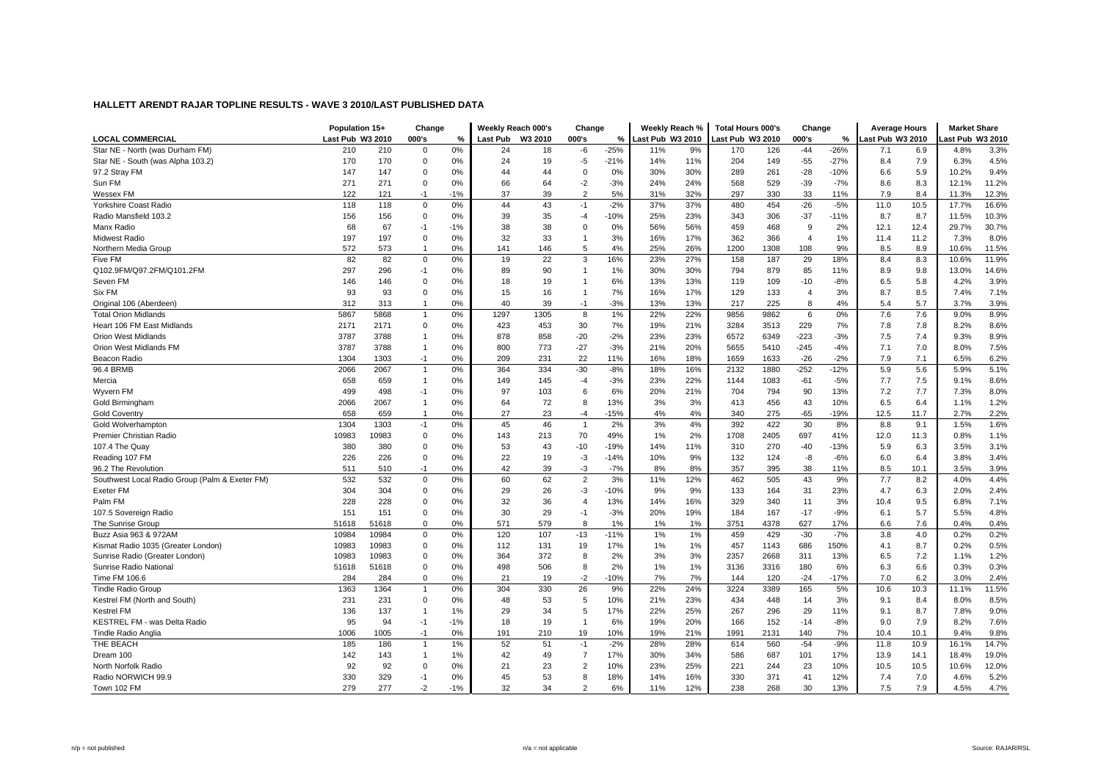|                                                | Population 15+   |       | Change         |       | Weekly Reach 000's |         | Change         |        | Weekly Reach %   |     | <b>Total Hours 000's</b> |      | Change         |        | <b>Average Hours</b> |      | <b>Market Share</b> |       |
|------------------------------------------------|------------------|-------|----------------|-------|--------------------|---------|----------------|--------|------------------|-----|--------------------------|------|----------------|--------|----------------------|------|---------------------|-------|
| <b>LOCAL COMMERCIAL</b>                        | Last Pub W3 2010 |       | 000's          | %     | Last Pub           | W3 2010 | 000's          | %      | Last Pub W3 2010 |     | ast Pub W3 2010          |      | 000's          | %      | Last Pub W3 2010     |      | ast Pub W3 2010     |       |
| Star NE - North (was Durham FM)                | 210              | 210   | $\mathbf 0$    | 0%    | 24                 | 18      | -6             | $-25%$ | 11%              | 9%  | 170                      | 126  | $-44$          | $-26%$ | 7.1                  | 6.9  | 4.8%                | 3.3%  |
| Star NE - South (was Alpha 103.2)              | 170              | 170   | $\Omega$       | 0%    | 24                 | 19      | -5             | $-21%$ | 14%              | 11% | 204                      | 149  | $-55$          | $-27%$ | 8.4                  | 7.9  | 6.3%                | 4.5%  |
| 97.2 Stray FM                                  | 147              | 147   | $\mathbf 0$    | 0%    | 44                 | 44      | $\mathbf 0$    | 0%     | 30%              | 30% | 289                      | 261  | $-28$          | $-10%$ | 6.6                  | 5.9  | 10.2%               | 9.4%  |
| Sun FM                                         | 271              | 271   | $\mathbf 0$    | 0%    | 66                 | 64      | $-2$           | $-3%$  | 24%              | 24% | 568                      | 529  | $-39$          | $-7%$  | 8.6                  | 8.3  | 12.1%               | 11.2% |
| Wessex FM                                      | 122              | 121   | -1             | $-1%$ | 37                 | 39      | $\overline{2}$ | 5%     | 31%              | 32% | 297                      | 330  | 33             | 11%    | 7.9                  | 8.4  | 11.3%               | 12.3% |
| Yorkshire Coast Radio                          | 118              | 118   | $\Omega$       | 0%    | 44                 | 43      | $-1$           | $-2%$  | 37%              | 37% | 480                      | 454  | $-26$          | $-5%$  | 11.0                 | 10.5 | 17.7%               | 16.6% |
| Radio Mansfield 103.2                          | 156              | 156   | $\mathbf 0$    | 0%    | 39                 | 35      | -4             | $-10%$ | 25%              | 23% | 343                      | 306  | $-37$          | $-11%$ | 8.7                  | 8.7  | 11.5%               | 10.3% |
| Manx Radio                                     | 68               | 67    | $-1$           | $-1%$ | 38                 | 38      | $\mathbf 0$    | 0%     | 56%              | 56% | 459                      | 468  | 9              | 2%     | 12.1                 | 12.4 | 29.7%               | 30.7% |
| <b>Midwest Radio</b>                           | 197              | 197   | $\mathbf 0$    | 0%    | 32                 | 33      | $\overline{1}$ | 3%     | 16%              | 17% | 362                      | 366  | $\overline{4}$ | 1%     | 11.4                 | 11.2 | 7.3%                | 8.0%  |
| Northern Media Group                           | 572              | 573   | $\overline{1}$ | 0%    | 141                | 146     | 5              | 4%     | 25%              | 26% | 1200                     | 1308 | 108            | 9%     | 8.5                  | 8.9  | 10.6%               | 11.5% |
| Five FM                                        | 82               | 82    | $\mathbf 0$    | 0%    | 19                 | 22      | 3              | 16%    | 23%              | 27% | 158                      | 187  | 29             | 18%    | 8.4                  | 8.3  | 10.6%               | 11.9% |
| Q102.9FM/Q97.2FM/Q101.2FM                      | 297              | 296   | $-1$           | 0%    | 89                 | 90      | $\mathbf{1}$   | 1%     | 30%              | 30% | 794                      | 879  | 85             | 11%    | 8.9                  | 9.8  | 13.0%               | 14.6% |
| Seven FM                                       | 146              | 146   | $\mathbf 0$    | 0%    | 18                 | 19      | $\overline{1}$ | 6%     | 13%              | 13% | 119                      | 109  | $-10$          | $-8%$  | 6.5                  | 5.8  | 4.2%                | 3.9%  |
| Six FM                                         | 93               | 93    | $\mathbf 0$    | 0%    | 15                 | 16      | $\overline{1}$ | 7%     | 16%              | 17% | 129                      | 133  | $\overline{4}$ | 3%     | 8.7                  | 8.5  | 7.4%                | 7.1%  |
| Original 106 (Aberdeen)                        | 312              | 313   | $\overline{1}$ | 0%    | 40                 | 39      | $-1$           | $-3%$  | 13%              | 13% | 217                      | 225  | 8              | 4%     | 5.4                  | 5.7  | 3.7%                | 3.9%  |
| <b>Total Orion Midlands</b>                    | 5867             | 5868  | $\mathbf{1}$   | 0%    | 1297               | 1305    | 8              | 1%     | 22%              | 22% | 9856                     | 9862 | 6              | 0%     | 7.6                  | 7.6  | 9.0%                | 8.9%  |
| Heart 106 FM East Midlands                     | 2171             | 2171  | $\mathbf 0$    | 0%    | 423                | 453     | 30             | 7%     | 19%              | 21% | 3284                     | 3513 | 229            | 7%     | 7.8                  | 7.8  | 8.2%                | 8.6%  |
| <b>Orion West Midlands</b>                     | 3787             | 3788  | $\overline{1}$ | 0%    | 878                | 858     | $-20$          | $-2%$  | 23%              | 23% | 6572                     | 6349 | $-223$         | $-3%$  | 7.5                  | 7.4  | 9.3%                | 8.9%  |
| Orion West Midlands FM                         | 3787             | 3788  | $\overline{1}$ | 0%    | 800                | 773     | $-27$          | $-3%$  | 21%              | 20% | 5655                     | 5410 | $-245$         | $-4%$  | 7.1                  | 7.0  | 8.0%                | 7.5%  |
| Beacon Radio                                   | 1304             | 1303  | $-1$           | 0%    | 209                | 231     | 22             | 11%    | 16%              | 18% | 1659                     | 1633 | $-26$          | $-2%$  | 7.9                  | 7.1  | 6.5%                | 6.2%  |
| 96.4 BRMB                                      | 2066             | 2067  | $\overline{1}$ | 0%    | 364                | 334     | $-30$          | $-8%$  | 18%              | 16% | 2132                     | 1880 | $-252$         | $-12%$ | 5.9                  | 5.6  | 5.9%                | 5.1%  |
| Mercia                                         | 658              | 659   | $\overline{1}$ | 0%    | 149                | 145     | $-4$           | $-3%$  | 23%              | 22% | 1144                     | 1083 | $-61$          | $-5%$  | 7.7                  | 7.5  | 9.1%                | 8.6%  |
| Wyvern FM                                      | 499              | 498   | $-1$           | 0%    | 97                 | 103     | 6              | 6%     | 20%              | 21% | 704                      | 794  | 90             | 13%    | 7.2                  | 7.7  | 7.3%                | 8.0%  |
| Gold Birmingham                                | 2066             | 2067  | $\overline{1}$ | 0%    | 64                 | 72      | 8              | 13%    | 3%               | 3%  | 413                      | 456  | 43             | 10%    | 6.5                  | 6.4  | 1.1%                | 1.2%  |
| <b>Gold Coventry</b>                           | 658              | 659   | $\overline{1}$ | 0%    | 27                 | 23      | $-4$           | $-15%$ | 4%               | 4%  | 340                      | 275  | $-65$          | $-19%$ | 12.5                 | 11.7 | 2.7%                | 2.2%  |
| Gold Wolverhampton                             | 1304             | 1303  | $-1$           | 0%    | 45                 | 46      | $\overline{1}$ | 2%     | 3%               | 4%  | 392                      | 422  | 30             | 8%     | 8.8                  | 9.1  | 1.5%                | 1.6%  |
| Premier Christian Radio                        | 10983            | 10983 | $\mathbf 0$    | 0%    | 143                | 213     | 70             | 49%    | 1%               | 2%  | 1708                     | 2405 | 697            | 41%    | 12.0                 | 11.3 | 0.8%                | 1.1%  |
| 107.4 The Quay                                 | 380              | 380   | $\Omega$       | 0%    | 53                 | 43      | $-10$          | $-19%$ | 14%              | 11% | 310                      | 270  | $-40$          | $-13%$ | 5.9                  | 6.3  | 3.5%                | 3.1%  |
| Reading 107 FM                                 | 226              | 226   | $\mathbf 0$    | 0%    | 22                 | 19      | -3             | $-14%$ | 10%              | 9%  | 132                      | 124  | -8             | $-6%$  | 6.0                  | 6.4  | 3.8%                | 3.4%  |
| 96.2 The Revolution                            | 511              | 510   | $-1$           | 0%    | 42                 | 39      | $-3$           | $-7%$  | 8%               | 8%  | 357                      | 395  | 38             | 11%    | 8.5                  | 10.1 | 3.5%                | 3.9%  |
| Southwest Local Radio Group (Palm & Exeter FM) | 532              | 532   | $\mathbf 0$    | 0%    | 60                 | 62      | $\overline{2}$ | 3%     | 11%              | 12% | 462                      | 505  | 43             | 9%     | 7.7                  | 8.2  | 4.0%                | 4.4%  |
| Exeter FM                                      | 304              | 304   | $\mathbf 0$    | 0%    | 29                 | 26      | -3             | $-10%$ | 9%               | 9%  | 133                      | 164  | 31             | 23%    | 4.7                  | 6.3  | 2.0%                | 2.4%  |
| Palm FM                                        | 228              | 228   | $\mathbf 0$    | 0%    | 32                 | 36      | $\overline{4}$ | 13%    | 14%              | 16% | 329                      | 340  | 11             | 3%     | 10.4                 | 9.5  | 6.8%                | 7.1%  |
| 107.5 Sovereign Radio                          | 151              | 151   | $\mathbf 0$    | 0%    | 30                 | 29      | $-1$           | $-3%$  | 20%              | 19% | 184                      | 167  | $-17$          | $-9%$  | 6.1                  | 5.7  | 5.5%                | 4.8%  |
| The Sunrise Group                              | 51618            | 51618 | $\Omega$       | 0%    | 571                | 579     | 8              | 1%     | 1%               | 1%  | 3751                     | 4378 | 627            | 17%    | 6.6                  | 7.6  | 0.4%                | 0.4%  |
| Buzz Asia 963 & 972AM                          | 10984            | 10984 | $\mathbf 0$    | 0%    | 120                | 107     | $-13$          | $-11%$ | 1%               | 1%  | 459                      | 429  | $-30$          | $-7%$  | 3.8                  | 4.0  | 0.2%                | 0.2%  |
| Kismat Radio 1035 (Greater London)             | 10983            | 10983 | $\mathbf 0$    | 0%    | 112                | 131     | 19             | 17%    | 1%               | 1%  | 457                      | 1143 | 686            | 150%   | 4.1                  | 8.7  | 0.2%                | 0.5%  |
| Sunrise Radio (Greater London)                 | 10983            | 10983 | $\Omega$       | 0%    | 364                | 372     | 8              | 2%     | 3%               | 3%  | 2357                     | 2668 | 311            | 13%    | 6.5                  | 7.2  | 1.1%                | 1.2%  |
| Sunrise Radio National                         | 51618            | 51618 | $\mathbf 0$    | 0%    | 498                | 506     | 8              | 2%     | 1%               | 1%  | 3136                     | 3316 | 180            | 6%     | 6.3                  | 6.6  | 0.3%                | 0.3%  |
| Time FM 106.6                                  | 284              | 284   | $\mathbf 0$    | 0%    | 21                 | 19      | $-2$           | $-10%$ | 7%               | 7%  | 144                      | 120  | $-24$          | $-17%$ | 7.0                  | 6.2  | 3.0%                | 2.4%  |
| <b>Tindle Radio Group</b>                      | 1363             | 1364  | $\overline{1}$ | 0%    | 304                | 330     | 26             | 9%     | 22%              | 24% | 3224                     | 3389 | 165            | 5%     | 10.6                 | 10.3 | 11.1%               | 11.5% |
| Kestrel FM (North and South)                   | 231              | 231   | $\mathbf 0$    | 0%    | 48                 | 53      | 5              | 10%    | 21%              | 23% | 434                      | 448  | 14             | 3%     | 9.1                  | 8.4  | 8.0%                | 8.5%  |
| Kestrel FM                                     | 136              | 137   | $\overline{1}$ | 1%    | 29                 | 34      | 5              | 17%    | 22%              | 25% | 267                      | 296  | 29             | 11%    | 9.1                  | 8.7  | 7.8%                | 9.0%  |
| KESTREL FM - was Delta Radio                   | 95               | 94    | $-1$           | $-1%$ | 18                 | 19      | $\overline{1}$ | 6%     | 19%              | 20% | 166                      | 152  | $-14$          | $-8%$  | 9.0                  | 7.9  | 8.2%                | 7.6%  |
| Tindle Radio Anglia                            | 1006             | 1005  | $-1$           | 0%    | 191                | 210     | 19             | 10%    | 19%              | 21% | 1991                     | 2131 | 140            | 7%     | 10.4                 | 10.1 | 9.4%                | 9.8%  |
| THE BEACH                                      | 185              | 186   | $\overline{1}$ | 1%    | 52                 | 51      | $-1$           | $-2%$  | 28%              | 28% | 614                      | 560  | $-54$          | $-9%$  | 11.8                 | 10.9 | 16.1%               | 14.7% |
| Dream 100                                      | 142              | 143   | $\overline{1}$ | 1%    | 42                 | 49      | $\overline{7}$ | 17%    | 30%              | 34% | 586                      | 687  | 101            | 17%    | 13.9                 | 14.1 | 18.4%               | 19.0% |
| North Norfolk Radio                            | 92               | 92    | $\Omega$       | 0%    | 21                 | 23      | $\overline{2}$ | 10%    | 23%              | 25% | 221                      | 244  | 23             | 10%    | 10.5                 | 10.5 | 10.6%               | 12.0% |
| Radio NORWICH 99.9                             | 330              | 329   | $-1$           | 0%    | 45                 | 53      | 8              | 18%    | 14%              | 16% | 330                      | 371  | 41             | 12%    | 7.4                  | 7.0  | 4.6%                | 5.2%  |
| Town 102 FM                                    | 279              | 277   | $-2$           | $-1%$ | 32                 | 34      | $\overline{2}$ | 6%     | 11%              | 12% | 238                      | 268  | 30             | 13%    | 7.5                  | 7.9  | 4.5%                | 4.7%  |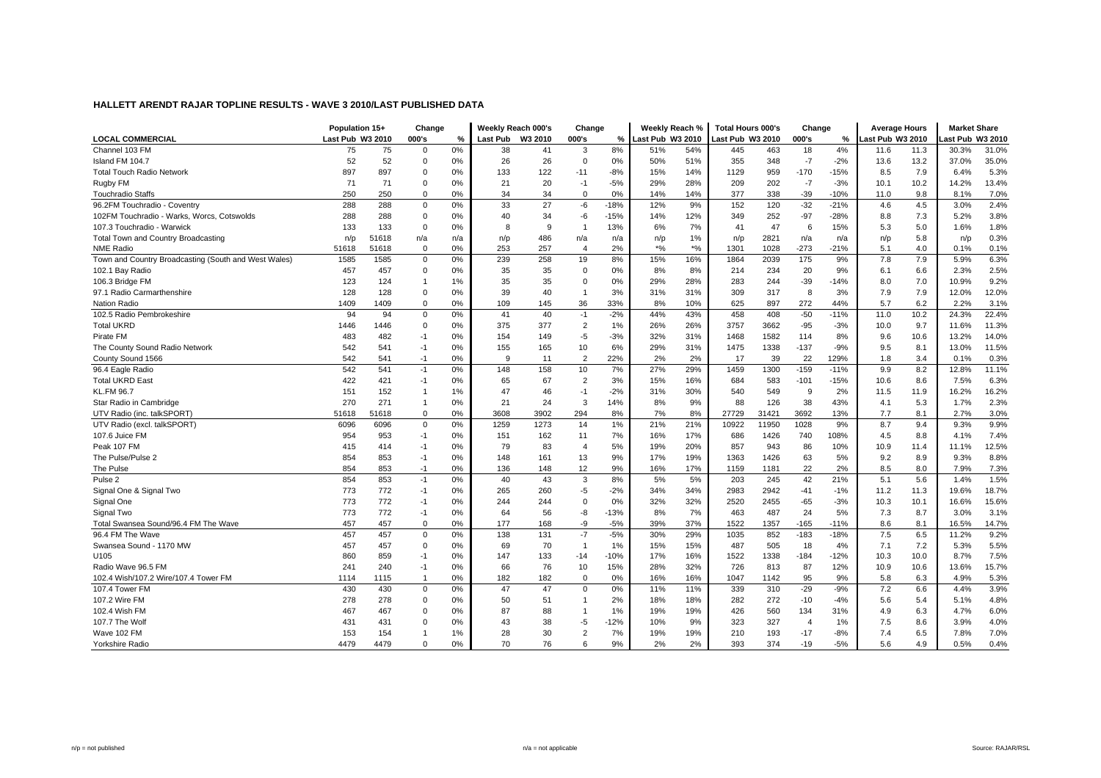|                                                      | Population 15+   |       | Change       |     | Weekly Reach 000's |         | Change         |        | Weekly Reach %   |       | <b>Total Hours 000's</b> |       | Change         |        | <b>Average Hours</b> |      | <b>Market Share</b> |       |
|------------------------------------------------------|------------------|-------|--------------|-----|--------------------|---------|----------------|--------|------------------|-------|--------------------------|-------|----------------|--------|----------------------|------|---------------------|-------|
| <b>LOCAL COMMERCIAL</b>                              | Last Pub W3 2010 |       | 000's        | %   | <b>Last Pub</b>    | W3 2010 | 000's          | %      | Last Pub W3 2010 |       | Last Pub W3 2010         |       | 000's          | %      | Last Pub W3 2010     |      | ast Pub W3 2010     |       |
| Channel 103 FM                                       | 75               | 75    | $\Omega$     | 0%  | 38                 | 41      | 3              | 8%     | 51%              | 54%   | 445                      | 463   | 18             | 4%     | 11.6                 | 11.3 | 30.3%               | 31.0% |
| Island FM 104.7                                      | 52               | 52    | $\Omega$     | 0%  | 26                 | 26      | $\Omega$       | 0%     | 50%              | 51%   | 355                      | 348   | $-7$           | $-2%$  | 13.6                 | 13.2 | 37.0%               | 35.0% |
| <b>Total Touch Radio Network</b>                     | 897              | 897   | $\Omega$     | 0%  | 133                | 122     | $-11$          | $-8%$  | 15%              | 14%   | 1129                     | 959   | $-170$         | $-15%$ | 8.5                  | 7.9  | 6.4%                | 5.3%  |
| Rugby FM                                             | 71               | 71    | $\Omega$     | 0%  | 21                 | 20      | $-1$           | $-5%$  | 29%              | 28%   | 209                      | 202   | $-7$           | $-3%$  | 10.1                 | 10.2 | 14.2%               | 13.4% |
| <b>Touchradio Staffs</b>                             | 250              | 250   | $\Omega$     | 0%  | 34                 | 34      | $\Omega$       | 0%     | 14%              | 14%   | 377                      | 338   | $-39$          | $-10%$ | 11.0                 | 9.8  | 8.1%                | 7.0%  |
| 96.2FM Touchradio - Coventry                         | 288              | 288   | $\Omega$     | 0%  | 33                 | 27      | $-6$           | $-18%$ | 12%              | 9%    | 152                      | 120   | $-32$          | $-21%$ | 4.6                  | 4.5  | 3.0%                | 2.4%  |
| 102FM Touchradio - Warks, Worcs, Cotswolds           | 288              | 288   | $\Omega$     | 0%  | 40                 | 34      | -6             | $-15%$ | 14%              | 12%   | 349                      | 252   | $-97$          | $-28%$ | 8.8                  | 7.3  | 5.2%                | 3.8%  |
| 107.3 Touchradio - Warwick                           | 133              | 133   | $\Omega$     | 0%  | 8                  | 9       | $\mathbf{1}$   | 13%    | 6%               | 7%    | 41                       | 47    | 6              | 15%    | 5.3                  | 5.0  | 1.6%                | 1.8%  |
| Total Town and Country Broadcasting                  | n/p              | 51618 | n/a          | n/a | n/p                | 486     | n/a            | n/a    | n/p              | 1%    | n/p                      | 2821  | n/a            | n/a    | n/p                  | 5.8  | n/p                 | 0.3%  |
| <b>NME Radio</b>                                     | 51618            | 51618 | $\Omega$     | 0%  | 253                | 257     | $\overline{4}$ | 2%     | $*9/6$           | $*$ % | 1301                     | 1028  | $-273$         | $-21%$ | 5.1                  | 4.0  | 0.1%                | 0.1%  |
| Town and Country Broadcasting (South and West Wales) | 1585             | 1585  | $\Omega$     | 0%  | 239                | 258     | 19             | 8%     | 15%              | 16%   | 1864                     | 2039  | 175            | 9%     | 7.8                  | 7.9  | 5.9%                | 6.3%  |
| 102.1 Bay Radio                                      | 457              | 457   | $\Omega$     | 0%  | 35                 | 35      | $\Omega$       | 0%     | 8%               | 8%    | 214                      | 234   | 20             | 9%     | 6.1                  | 6.6  | 2.3%                | 2.5%  |
| 106.3 Bridge FM                                      | 123              | 124   |              | 1%  | 35                 | 35      | $\Omega$       | 0%     | 29%              | 28%   | 283                      | 244   | $-39$          | $-14%$ | 8.0                  | 7.0  | 10.9%               | 9.2%  |
| 97.1 Radio Carmarthenshire                           | 128              | 128   | $\Omega$     | 0%  | 39                 | 40      | $\overline{1}$ | 3%     | 31%              | 31%   | 309                      | 317   | 8              | 3%     | 7.9                  | 7.9  | 12.0%               | 12.0% |
| Nation Radio                                         | 1409             | 1409  | $\Omega$     | 0%  | 109                | 145     | 36             | 33%    | 8%               | 10%   | 625                      | 897   | 272            | 44%    | 5.7                  | 6.2  | 2.2%                | 3.1%  |
| 102.5 Radio Pembrokeshire                            | 94               | 94    | $\Omega$     | 0%  | 41                 | 40      | $-1$           | $-2%$  | 44%              | 43%   | 458                      | 408   | $-50$          | $-11%$ | 11.0                 | 10.2 | 24.3%               | 22.4% |
| <b>Total UKRD</b>                                    | 1446             | 1446  | $\Omega$     | 0%  | 375                | 377     | $\overline{2}$ | 1%     | 26%              | 26%   | 3757                     | 3662  | $-95$          | $-3%$  | 10.0                 | 9.7  | 11.6%               | 11.3% |
| Pirate FM                                            | 483              | 482   | $-1$         | 0%  | 154                | 149     | $-5$           | $-3%$  | 32%              | 31%   | 1468                     | 1582  | 114            | 8%     | 9.6                  | 10.6 | 13.2%               | 14.0% |
| The County Sound Radio Network                       | 542              | 541   | $-1$         | 0%  | 155                | 165     | 10             | 6%     | 29%              | 31%   | 1475                     | 1338  | $-137$         | $-9%$  | 9.5                  | 8.1  | 13.0%               | 11.5% |
| County Sound 1566                                    | 542              | 541   | $-1$         | 0%  | 9                  | 11      | $\overline{2}$ | 22%    | 2%               | 2%    | 17                       | 39    | 22             | 129%   | 1.8                  | 3.4  | 0.1%                | 0.3%  |
| 96.4 Eagle Radio                                     | 542              | 541   | $-1$         | 0%  | 148                | 158     | 10             | 7%     | 27%              | 29%   | 1459                     | 1300  | $-159$         | $-11%$ | 9.9                  | 8.2  | 12.8%               | 11.1% |
| <b>Total UKRD East</b>                               | 422              | 421   | $-1$         | 0%  | 65                 | 67      | $\overline{2}$ | 3%     | 15%              | 16%   | 684                      | 583   | $-101$         | $-15%$ | 10.6                 | 8.6  | 7.5%                | 6.3%  |
| <b>KL.FM 96.7</b>                                    | 151              | 152   | $\mathbf{1}$ | 1%  | 47                 | 46      | $-1$           | $-2%$  | 31%              | 30%   | 540                      | 549   | 9              | 2%     | 11.5                 | 11.9 | 16.2%               | 16.2% |
| Star Radio in Cambridge                              | 270              | 271   | $\mathbf{1}$ | 0%  | 21                 | 24      | 3              | 14%    | 8%               | 9%    | 88                       | 126   | 38             | 43%    | 4.1                  | 5.3  | 1.7%                | 2.3%  |
| UTV Radio (inc. talkSPORT)                           | 51618            | 51618 | $\Omega$     | 0%  | 3608               | 3902    | 294            | 8%     | 7%               | 8%    | 27729                    | 31421 | 3692           | 13%    | 7.7                  | 8.1  | 2.7%                | 3.0%  |
| UTV Radio (excl. talkSPORT)                          | 6096             | 6096  | $\mathbf 0$  | 0%  | 1259               | 1273    | 14             | 1%     | 21%              | 21%   | 10922                    | 11950 | 1028           | 9%     | 8.7                  | 9.4  | 9.3%                | 9.9%  |
| 107.6 Juice FM                                       | 954              | 953   | $-1$         | 0%  | 151                | 162     | 11             | 7%     | 16%              | 17%   | 686                      | 1426  | 740            | 108%   | 4.5                  | 8.8  | 4.1%                | 7.4%  |
| Peak 107 FM                                          | 415              | 414   | $-1$         | 0%  | 79                 | 83      | $\overline{4}$ | 5%     | 19%              | 20%   | 857                      | 943   | 86             | 10%    | 10.9                 | 11.4 | 11.1%               | 12.5% |
| The Pulse/Pulse 2                                    | 854              | 853   | $-1$         | 0%  | 148                | 161     | 13             | 9%     | 17%              | 19%   | 1363                     | 1426  | 63             | 5%     | 9.2                  | 8.9  | 9.3%                | 8.8%  |
| The Pulse                                            | 854              | 853   | $-1$         | 0%  | 136                | 148     | 12             | 9%     | 16%              | 17%   | 1159                     | 1181  | 22             | 2%     | 8.5                  | 8.0  | 7.9%                | 7.3%  |
| Pulse <sub>2</sub>                                   | 854              | 853   | $-1$         | 0%  | 40                 | 43      | 3              | 8%     | 5%               | 5%    | 203                      | 245   | 42             | 21%    | 5.1                  | 5.6  | 1.4%                | 1.5%  |
| Signal One & Signal Two                              | 773              | 772   | $-1$         | 0%  | 265                | 260     | $-5$           | $-2%$  | 34%              | 34%   | 2983                     | 2942  | $-41$          | $-1%$  | 11.2                 | 11.3 | 19.6%               | 18.7% |
| Signal One                                           | 773              | 772   | $-1$         | 0%  | 244                | 244     | $\Omega$       | 0%     | 32%              | 32%   | 2520                     | 2455  | $-65$          | $-3%$  | 10.3                 | 10.1 | 16.6%               | 15.6% |
| Signal Two                                           | 773              | 772   | $-1$         | 0%  | 64                 | 56      | -8             | $-13%$ | 8%               | 7%    | 463                      | 487   | 24             | 5%     | 7.3                  | 8.7  | 3.0%                | 3.1%  |
| Total Swansea Sound/96.4 FM The Wave                 | 457              | 457   | $\Omega$     | 0%  | 177                | 168     | -9             | $-5%$  | 39%              | 37%   | 1522                     | 1357  | $-165$         | $-11%$ | 8.6                  | 8.1  | 16.5%               | 14.7% |
| 96.4 FM The Wave                                     | 457              | 457   | $\Omega$     | 0%  | 138                | 131     | $-7$           | $-5%$  | 30%              | 29%   | 1035                     | 852   | $-183$         | $-18%$ | 7.5                  | 6.5  | 11.2%               | 9.2%  |
| Swansea Sound - 1170 MW                              | 457              | 457   | $\Omega$     | 0%  | 69                 | 70      | $\mathbf{1}$   | 1%     | 15%              | 15%   | 487                      | 505   | 18             | 4%     | 7.1                  | 7.2  | 5.3%                | 5.5%  |
| U105                                                 | 860              | 859   | $-1$         | 0%  | 147                | 133     | $-14$          | $-10%$ | 17%              | 16%   | 1522                     | 1338  | $-184$         | $-12%$ | 10.3                 | 10.0 | 8.7%                | 7.5%  |
| Radio Wave 96.5 FM                                   | 241              | 240   | $-1$         | 0%  | 66                 | 76      | 10             | 15%    | 28%              | 32%   | 726                      | 813   | 87             | 12%    | 10.9                 | 10.6 | 13.6%               | 15.7% |
| 102.4 Wish/107.2 Wire/107.4 Tower FM                 | 1114             | 1115  | $\mathbf{1}$ | 0%  | 182                | 182     | $\mathbf 0$    | 0%     | 16%              | 16%   | 1047                     | 1142  | 95             | 9%     | 5.8                  | 6.3  | 4.9%                | 5.3%  |
| 107.4 Tower FM                                       | 430              | 430   | $\Omega$     | 0%  | 47                 | 47      | 0              | 0%     | 11%              | 11%   | 339                      | 310   | $-29$          | $-9%$  | 7.2                  | 6.6  | 4.4%                | 3.9%  |
| 107.2 Wire FM                                        | 278              | 278   | $\Omega$     | 0%  | 50                 | 51      | $\overline{1}$ | 2%     | 18%              | 18%   | 282                      | 272   | $-10$          | $-4%$  | 5.6                  | 5.4  | 5.1%                | 4.8%  |
| 102.4 Wish FM                                        | 467              | 467   | $\Omega$     | 0%  | 87                 | 88      | $\mathbf{1}$   | 1%     | 19%              | 19%   | 426                      | 560   | 134            | 31%    | 4.9                  | 6.3  | 4.7%                | 6.0%  |
| 107.7 The Wolf                                       | 431              | 431   | $\Omega$     | 0%  | 43                 | 38      | $-5$           | $-12%$ | 10%              | 9%    | 323                      | 327   | $\overline{4}$ | 1%     | 7.5                  | 8.6  | 3.9%                | 4.0%  |
| Wave 102 FM                                          | 153              | 154   |              | 1%  | 28                 | 30      | $\overline{2}$ | 7%     | 19%              | 19%   | 210                      | 193   | $-17$          | $-8%$  | 7.4                  | 6.5  | 7.8%                | 7.0%  |
| Yorkshire Radio                                      | 4479             | 4479  | $\Omega$     | 0%  | 70                 | 76      | 6              | 9%     | 2%               | 2%    | 393                      | 374   | $-19$          | $-5%$  | 5.6                  | 4.9  | 0.5%                | 0.4%  |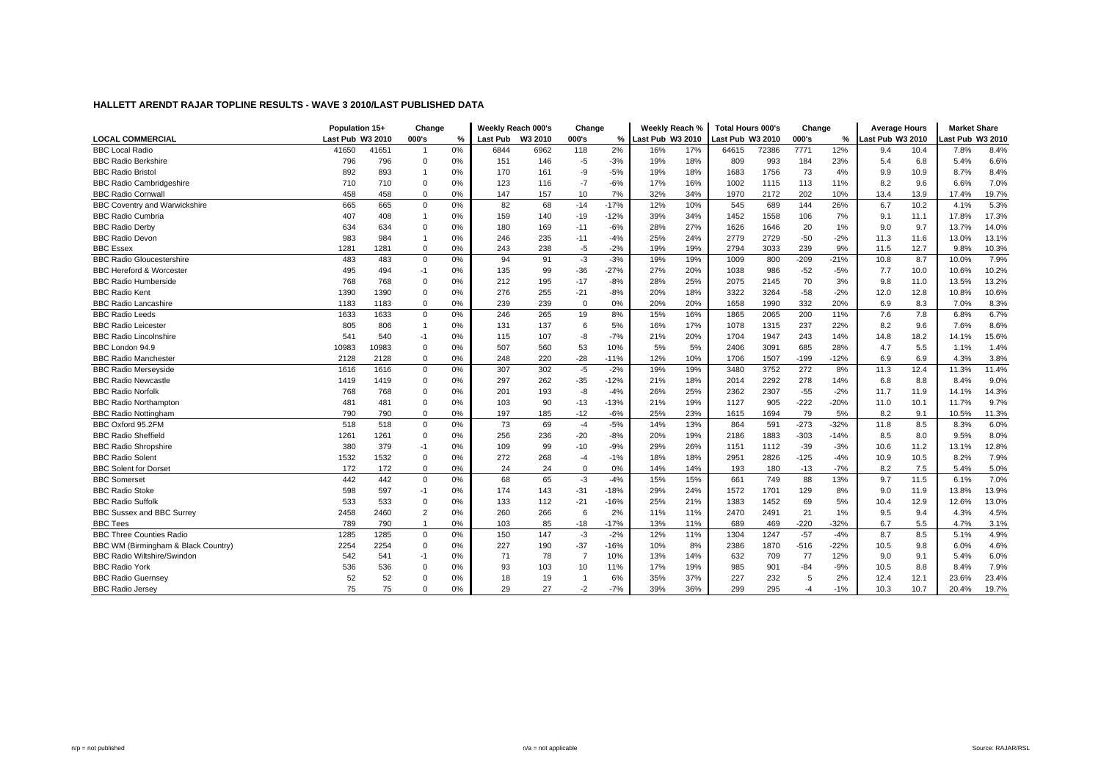|                                      | Population 15+   |       | Change         |    | Weekly Reach 000's |         | Change         |        |                 | Weekly Reach % | <b>Total Hours 000's</b> |       | Change |        | <b>Average Hours</b> |      | <b>Market Share</b> |       |
|--------------------------------------|------------------|-------|----------------|----|--------------------|---------|----------------|--------|-----------------|----------------|--------------------------|-------|--------|--------|----------------------|------|---------------------|-------|
| <b>LOCAL COMMERCIAL</b>              | Last Pub W3 2010 |       | 000's          | %  | <b>Last Pub</b>    | W3 2010 | 000's          | $\%$   | ast Pub W3 2010 |                | ast Pub W3 2010          |       | 000's  | %      | ast Pub W3 2010      |      | ast Pub W3 2010     |       |
| <b>BBC Local Radio</b>               | 41650            | 41651 | $\overline{1}$ | 0% | 6844               | 6962    | 118            | 2%     | 16%             | 17%            | 64615                    | 72386 | 7771   | 12%    | 9.4                  | 10.4 | 7.8%                | 8.4%  |
| <b>BBC Radio Berkshire</b>           | 796              | 796   | $\mathbf 0$    | 0% | 151                | 146     | $-5$           | $-3%$  | 19%             | 18%            | 809                      | 993   | 184    | 23%    | 5.4                  | 6.8  | 5.4%                | 6.6%  |
| <b>BBC Radio Bristol</b>             | 892              | 893   | $\overline{1}$ | 0% | 170                | 161     | -9             | $-5%$  | 19%             | 18%            | 1683                     | 1756  | 73     | 4%     | 9.9                  | 10.9 | 8.7%                | 8.4%  |
| <b>BBC Radio Cambridgeshire</b>      | 710              | 710   | $\mathbf 0$    | 0% | 123                | 116     | $-7$           | $-6%$  | 17%             | 16%            | 1002                     | 1115  | 113    | 11%    | 8.2                  | 9.6  | 6.6%                | 7.0%  |
| <b>BBC Radio Cornwall</b>            | 458              | 458   | $\mathbf 0$    | 0% | 147                | 157     | 10             | 7%     | 32%             | 34%            | 1970                     | 2172  | 202    | 10%    | 13.4                 | 13.9 | 17.4%               | 19.7% |
| <b>BBC Coventry and Warwickshire</b> | 665              | 665   | $\mathbf 0$    | 0% | 82                 | 68      | $-14$          | $-17%$ | 12%             | 10%            | 545                      | 689   | 144    | 26%    | 6.7                  | 10.2 | 4.1%                | 5.3%  |
| <b>BBC Radio Cumbria</b>             | 407              | 408   | $\overline{1}$ | 0% | 159                | 140     | $-19$          | $-12%$ | 39%             | 34%            | 1452                     | 1558  | 106    | 7%     | 9.1                  | 11.1 | 17.8%               | 17.3% |
| <b>BBC Radio Derby</b>               | 634              | 634   | $\Omega$       | 0% | 180                | 169     | $-11$          | $-6%$  | 28%             | 27%            | 1626                     | 1646  | 20     | 1%     | 9.0                  | 9.7  | 13.7%               | 14.0% |
| <b>BBC Radio Devon</b>               | 983              | 984   |                | 0% | 246                | 235     | $-11$          | $-4%$  | 25%             | 24%            | 2779                     | 2729  | $-50$  | $-2%$  | 11.3                 | 11.6 | 13.0%               | 13.1% |
| <b>BBC Essex</b>                     | 1281             | 1281  | $\mathbf 0$    | 0% | 243                | 238     | $-5$           | $-2%$  | 19%             | 19%            | 2794                     | 3033  | 239    | 9%     | 11.5                 | 12.7 | 9.8%                | 10.3% |
| <b>BBC Radio Gloucestershire</b>     | 483              | 483   | $\mathbf 0$    | 0% | 94                 | 91      | $-3$           | $-3%$  | 19%             | 19%            | 1009                     | 800   | $-209$ | $-21%$ | 10.8                 | 8.7  | 10.0%               | 7.9%  |
| <b>BBC Hereford &amp; Worcester</b>  | 495              | 494   | $-1$           | 0% | 135                | 99      | $-36$          | $-27%$ | 27%             | 20%            | 1038                     | 986   | $-52$  | $-5%$  | 7.7                  | 10.0 | 10.6%               | 10.2% |
| <b>BBC Radio Humberside</b>          | 768              | 768   | $\Omega$       | 0% | 212                | 195     | $-17$          | $-8%$  | 28%             | 25%            | 2075                     | 2145  | 70     | 3%     | 9.8                  | 11.0 | 13.5%               | 13.2% |
| <b>BBC Radio Kent</b>                | 1390             | 1390  | $\mathbf 0$    | 0% | 276                | 255     | $-21$          | $-8%$  | 20%             | 18%            | 3322                     | 3264  | $-58$  | $-2%$  | 12.0                 | 12.8 | 10.8%               | 10.6% |
| <b>BBC Radio Lancashire</b>          | 1183             | 1183  | $\mathbf 0$    | 0% | 239                | 239     | $\mathbf 0$    | 0%     | 20%             | 20%            | 1658                     | 1990  | 332    | 20%    | 6.9                  | 8.3  | 7.0%                | 8.3%  |
| <b>BBC Radio Leeds</b>               | 1633             | 1633  | $\mathbf 0$    | 0% | 246                | 265     | 19             | 8%     | 15%             | 16%            | 1865                     | 2065  | 200    | 11%    | 7.6                  | 7.8  | 6.8%                | 6.7%  |
| <b>BBC Radio Leicester</b>           | 805              | 806   | $\overline{1}$ | 0% | 131                | 137     | 6              | 5%     | 16%             | 17%            | 1078                     | 1315  | 237    | 22%    | 8.2                  | 9.6  | 7.6%                | 8.6%  |
| <b>BBC Radio Lincolnshire</b>        | 541              | 540   | $-1$           | 0% | 115                | 107     | -8             | $-7%$  | 21%             | 20%            | 1704                     | 1947  | 243    | 14%    | 14.8                 | 18.2 | 14.1%               | 15.6% |
| BBC London 94.9                      | 10983            | 10983 | $\Omega$       | 0% | 507                | 560     | 53             | 10%    | 5%              | 5%             | 2406                     | 3091  | 685    | 28%    | 4.7                  | 5.5  | 1.1%                | 1.4%  |
| <b>BBC Radio Manchester</b>          | 2128             | 2128  | $\mathbf 0$    | 0% | 248                | 220     | $-28$          | $-11%$ | 12%             | 10%            | 1706                     | 1507  | $-199$ | $-12%$ | 6.9                  | 6.9  | 4.3%                | 3.8%  |
| <b>BBC Radio Merseyside</b>          | 1616             | 1616  | $\mathbf 0$    | 0% | 307                | 302     | $-5$           | $-2%$  | 19%             | 19%            | 3480                     | 3752  | 272    | 8%     | 11.3                 | 12.4 | 11.3%               | 11.4% |
| <b>BBC Radio Newcastle</b>           | 1419             | 1419  | $\mathbf 0$    | 0% | 297                | 262     | $-35$          | $-12%$ | 21%             | 18%            | 2014                     | 2292  | 278    | 14%    | 6.8                  | 8.8  | 8.4%                | 9.0%  |
| <b>BBC Radio Norfolk</b>             | 768              | 768   | $\mathbf 0$    | 0% | 201                | 193     | -8             | $-4%$  | 26%             | 25%            | 2362                     | 2307  | $-55$  | $-2%$  | 11.7                 | 11.9 | 14.1%               | 14.3% |
| <b>BBC Radio Northampton</b>         | 481              | 481   | $\Omega$       | 0% | 103                | 90      | $-13$          | $-13%$ | 21%             | 19%            | 1127                     | 905   | $-222$ | $-20%$ | 11.0                 | 10.1 | 11.7%               | 9.7%  |
| <b>BBC Radio Nottingham</b>          | 790              | 790   | $\mathbf 0$    | 0% | 197                | 185     | $-12$          | $-6%$  | 25%             | 23%            | 1615                     | 1694  | 79     | 5%     | 8.2                  | 9.1  | 10.5%               | 11.3% |
| BBC Oxford 95.2FM                    | 518              | 518   | $\mathbf 0$    | 0% | 73                 | 69      | $-4$           | $-5%$  | 14%             | 13%            | 864                      | 591   | $-273$ | $-32%$ | 11.8                 | 8.5  | 8.3%                | 6.0%  |
| <b>BBC Radio Sheffield</b>           | 1261             | 1261  | $\mathbf 0$    | 0% | 256                | 236     | $-20$          | $-8%$  | 20%             | 19%            | 2186                     | 1883  | $-303$ | $-14%$ | 8.5                  | 8.0  | 9.5%                | 8.0%  |
| <b>BBC Radio Shropshire</b>          | 380              | 379   | $-1$           | 0% | 109                | 99      | $-10$          | $-9%$  | 29%             | 26%            | 1151                     | 1112  | $-39$  | $-3%$  | 10.6                 | 11.2 | 13.1%               | 12.8% |
| <b>BBC Radio Solent</b>              | 1532             | 1532  | $\mathbf 0$    | 0% | 272                | 268     | $-4$           | $-1%$  | 18%             | 18%            | 2951                     | 2826  | $-125$ | $-4%$  | 10.9                 | 10.5 | 8.2%                | 7.9%  |
| <b>BBC Solent for Dorset</b>         | 172              | 172   | $\mathbf 0$    | 0% | 24                 | 24      | $\mathbf 0$    | 0%     | 14%             | 14%            | 193                      | 180   | $-13$  | $-7%$  | 8.2                  | 7.5  | 5.4%                | 5.0%  |
| <b>BBC Somerset</b>                  | 442              | 442   | $\mathbf 0$    | 0% | 68                 | 65      | -3             | $-4%$  | 15%             | 15%            | 661                      | 749   | 88     | 13%    | 9.7                  | 11.5 | 6.1%                | 7.0%  |
| <b>BBC Radio Stoke</b>               | 598              | 597   | $-1$           | 0% | 174                | 143     | $-31$          | $-18%$ | 29%             | 24%            | 1572                     | 1701  | 129    | 8%     | 9.0                  | 11.9 | 13.8%               | 13.9% |
| <b>BBC Radio Suffolk</b>             | 533              | 533   | $\Omega$       | 0% | 133                | 112     | $-21$          | $-16%$ | 25%             | 21%            | 1383                     | 1452  | 69     | 5%     | 10.4                 | 12.9 | 12.6%               | 13.0% |
| BBC Sussex and BBC Surrey            | 2458             | 2460  | $\overline{2}$ | 0% | 260                | 266     | 6              | 2%     | 11%             | 11%            | 2470                     | 2491  | 21     | 1%     | 9.5                  | 9.4  | 4.3%                | 4.5%  |
| <b>BBC Tees</b>                      | 789              | 790   |                | 0% | 103                | 85      | $-18$          | $-17%$ | 13%             | 11%            | 689                      | 469   | $-220$ | $-32%$ | 6.7                  | 5.5  | 4.7%                | 3.1%  |
| <b>BBC Three Counties Radio</b>      | 1285             | 1285  | $\mathbf 0$    | 0% | 150                | 147     | $-3$           | $-2%$  | 12%             | 11%            | 1304                     | 1247  | $-57$  | $-4%$  | 8.7                  | 8.5  | 5.1%                | 4.9%  |
| BBC WM (Birmingham & Black Country)  | 2254             | 2254  | $\mathbf 0$    | 0% | 227                | 190     | $-37$          | $-16%$ | 10%             | 8%             | 2386                     | 1870  | $-516$ | $-22%$ | 10.5                 | 9.8  | 6.0%                | 4.6%  |
| <b>BBC Radio Wiltshire/Swindon</b>   | 542              | 541   | $-1$           | 0% | 71                 | 78      | $\overline{7}$ | 10%    | 13%             | 14%            | 632                      | 709   | 77     | 12%    | 9.0                  | 9.1  | 5.4%                | 6.0%  |
| <b>BBC Radio York</b>                | 536              | 536   | $\Omega$       | 0% | 93                 | 103     | 10             | 11%    | 17%             | 19%            | 985                      | 901   | $-84$  | $-9%$  | 10.5                 | 8.8  | 8.4%                | 7.9%  |
| <b>BBC Radio Guernsey</b>            | 52               | 52    | $\mathbf 0$    | 0% | 18                 | 19      | $\overline{1}$ | 6%     | 35%             | 37%            | 227                      | 232   | 5      | 2%     | 12.4                 | 12.1 | 23.6%               | 23.4% |
| <b>BBC Radio Jersey</b>              | 75               | 75    | $\mathbf 0$    | 0% | 29                 | 27      | $-2$           | $-7%$  | 39%             | 36%            | 299                      | 295   | $-4$   | $-1%$  | 10.3                 | 10.7 | 20.4%               | 19.7% |